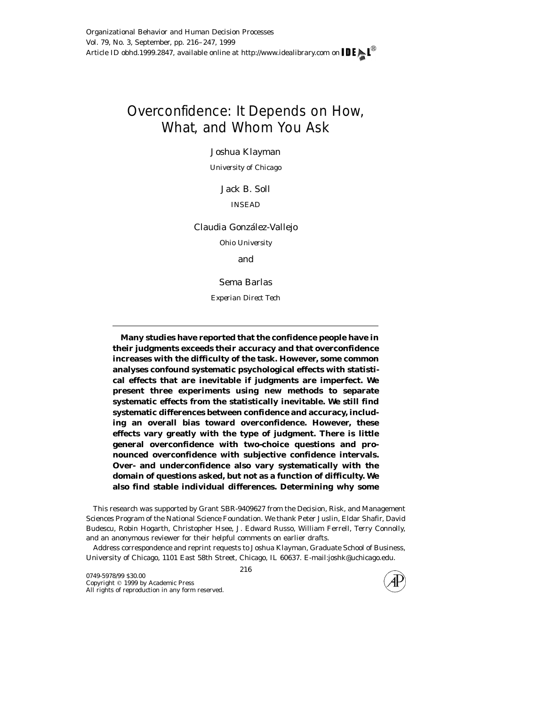Organizational Behavior and Human Decision Processes Vol. 79, No. 3, September, pp. 216–247, 1999 Article ID obhd.1999.2847, available online at http://www.idealibrary.com on  $\text{IDE} \blacktriangleright \text{LP}^{\textcircled{\tiny{\textcirc}}}$ 

# Overconfidence: It Depends on How, What, and Whom You Ask

# Joshua Klayman

*University of Chicago*

#### Jack B. Soll

*INSEAD*

#### Claudia González-Vallejo

*Ohio University*

and

## Sema Barlas

*Experian Direct Tech*

**Many studies have reported that the confidence people have in their judgments exceeds their accuracy and that overconfidence increases with the difficulty of the task. However, some common analyses confound systematic psychological effects with statistical effects that are inevitable if judgments are imperfect. We present three experiments using new methods to separate systematic effects from the statistically inevitable. We still find systematic differences between confidence and accuracy, including an overall bias toward overconfidence. However, these effects vary greatly with the type of judgment. There is little general overconfidence with two-choice questions and pronounced overconfidence with subjective confidence intervals. Over- and underconfidence also vary systematically with the domain of questions asked, but not as a function of difficulty. We also find stable individual differences. Determining why some**

This research was supported by Grant SBR-9409627 from the Decision, Risk, and Management Sciences Program of the National Science Foundation. We thank Peter Juslin, Eldar Shafir, David Budescu, Robin Hogarth, Christopher Hsee, J. Edward Russo, William Ferrell, Terry Connolly, and an anonymous reviewer for their helpful comments on earlier drafts.

Address correspondence and reprint requests to Joshua Klayman, Graduate School of Business, University of Chicago, 1101 East 58th Street, Chicago, IL 60637. E-mail:joshk@uchicago.edu.

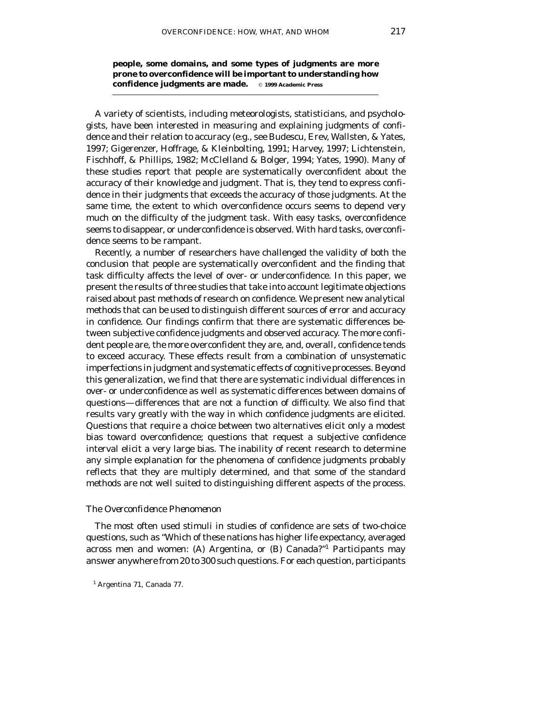A variety of scientists, including meteorologists, statisticians, and psychologists, have been interested in measuring and explaining judgments of confidence and their relation to accuracy (e.g., see Budescu, Erev, Wallsten, & Yates, ¨ 1997; Gigerenzer, Hoffrage, & Kleinbo lting, 1991; Harvey, 1997; Lichtenstein, Fischhoff, & Phillips, 1982; McClelland & Bolger, 1994; Yates, 1990). Many of these studies report that people are systematically overconfident about the accuracy of their knowledge and judgment. That is, they tend to express confidence in their judgments that exceeds the accuracy of those judgments. At the same time, the extent to which overconfidence occurs seems to depend very much on the difficulty of the judgment task. With easy tasks, overconfidence seems to disappear, or underconfidence is observed. With hard tasks, overconfidence seems to be rampant.

Recently, a number of researchers have challenged the validity of both the conclusion that people are systematically overconfident and the finding that task difficulty affects the level of over- or underconfidence. In this paper, we present the results of three studies that take into account legitimate objections raised about past methods of research on confidence. We present new analytical methods that can be used to distinguish different sources of error and accuracy in confidence. Our findings confirm that there are systematic differences between subjective confidence judgments and observed accuracy. The more confident people are, the more overconfident they are, and, overall, confidence tends to exceed accuracy. These effects result from a combination of unsystematic imperfections in judgment and systematic effects of cognitive processes. Beyond this generalization, we find that there are systematic individual differences in over- or underconfidence as well as systematic differences between domains of questions—differences that are not a function of difficulty. We also find that results vary greatly with the way in which confidence judgments are elicited. Questions that require a choice between two alternatives elicit only a modest bias toward overconfidence; questions that request a subjective confidence interval elicit a very large bias. The inability of recent research to determine any simple explanation for the phenomena of confidence judgments probably reflects that they are multiply determined, and that some of the standard methods are not well suited to distinguishing different aspects of the process.

#### *The Overconfidence Phenomenon*

The most often used stimuli in studies of confidence are sets of two-choice questions, such as "Which of these nations has higher life expectancy, averaged across men and women: (A) Argentina, or  $(B)$  Canada?"<sup>1</sup> Participants may answer anywhere from 20 to 300 such questions. For each question, participants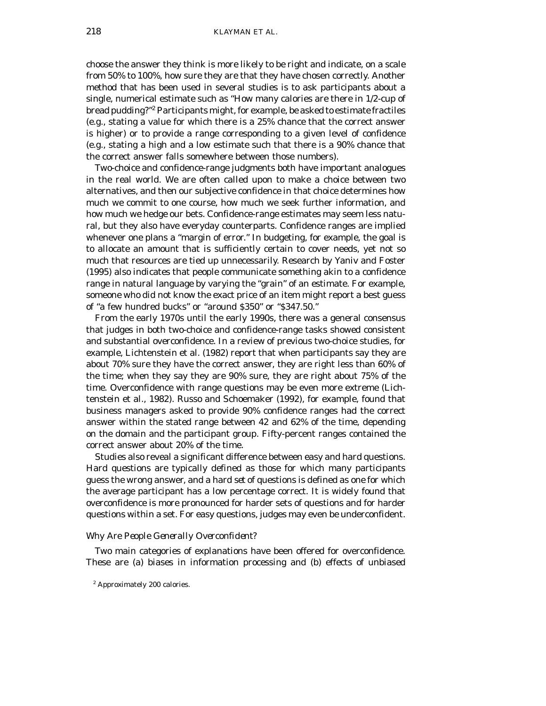choose the answer they think is more likely to be right and indicate, on a scale from 50% to 100%, how sure they are that they have chosen correctly. Another method that has been used in several studies is to ask participants about a single, numerical estimate such as "How many calories are there in 1/2-cup of bread pudding?"<sup>2</sup> Participants might, for example, be asked to estimate fractiles (e.g., stating a value for which there is a 25% chance that the correct answer is higher) or to provide a range corresponding to a given level of confidence (e.g., stating a high and a low estimate such that there is a 90% chance that the correct answer falls somewhere between those numbers).

Two-choice and confidence-range judgments both have important analogues in the real world. We are often called upon to make a choice between two alternatives, and then our subjective confidence in that choice determines how much we commit to one course, how much we seek further information, and how much we hedge our bets. Confidence-range estimates may seem less natural, but they also have everyday counterparts. Confidence ranges are implied whenever one plans a "margin of error." In budgeting, for example, the goal is to allocate an amount that is sufficiently certain to cover needs, yet not so much that resources are tied up unnecessarily. Research by Yaniv and Foster (1995) also indicates that people communicate something akin to a confidence range in natural language by varying the "grain" of an estimate. For example, someone who did not know the exact price of an item might report a best guess of "a few hundred bucks" or "around \$350" or "\$347.50."

From the early 1970s until the early 1990s, there was a general consensus that judges in both two-choice and confidence-range tasks showed consistent and substantial overconfidence. In a review of previous two-choice studies, for example, Lichtenstein et al. (1982) report that when participants say they are about 70% sure they have the correct answer, they are right less than 60% of the time; when they say they are 90% sure, they are right about 75% of the time. Overconfidence with range questions may be even more extreme (Lichtenstein et al., 1982). Russo and Schoemaker (1992), for example, found that business managers asked to provide 90% confidence ranges had the correct answer within the stated range between 42 and 62% of the time, depending on the domain and the participant group. Fifty-percent ranges contained the correct answer about 20% of the time.

Studies also reveal a significant difference between easy and hard questions. Hard questions are typically defined as those for which many participants guess the wrong answer, and a hard *set* of questions is defined as one for which the average participant has a low percentage correct. It is widely found that overconfidence is more pronounced for harder sets of questions and for harder questions within a set. For easy questions, judges may even be underconfident.

# *Why Are People Generally Overconfident?*

Two main categories of explanations have been offered for overconfidence. These are (a) biases in information processing and (b) effects of unbiased

<sup>2</sup> Approximately 200 calories.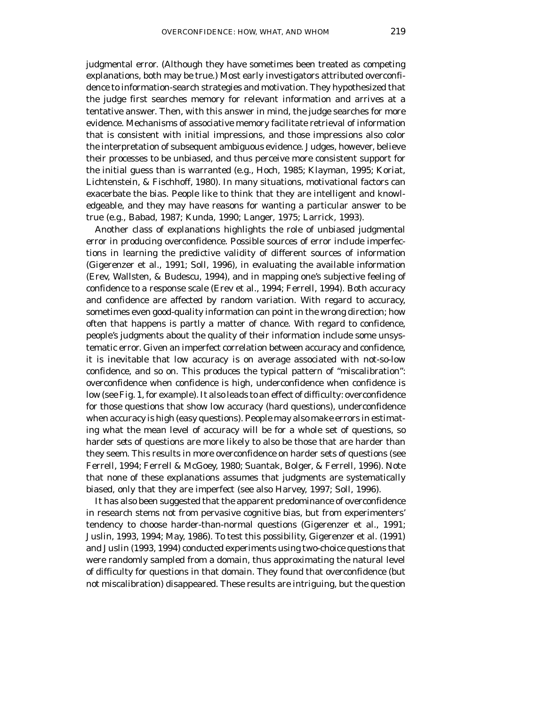judgmental error. (Although they have sometimes been treated as competing explanations, both may be true.) Most early investigators attributed overconfidence to information-search strategies and motivation. They hypothesized that the judge first searches memory for relevant information and arrives at a tentative answer. Then, with this answer in mind, the judge searches for more evidence. Mechanisms of associative memory facilitate retrieval of information that is consistent with initial impressions, and those impressions also color the interpretation of subsequent ambiguous evidence. Judges, however, believe their processes to be unbiased, and thus perceive more consistent support for the initial guess than is warranted (e.g., Hoch, 1985; Klayman, 1995; Koriat, Lichtenstein, & Fischhoff, 1980). In many situations, motivational factors can exacerbate the bias. People like to think that they are intelligent and knowledgeable, and they may have reasons for wanting a particular answer to be true (e.g., Babad, 1987; Kunda, 1990; Langer, 1975; Larrick, 1993).

Another class of explanations highlights the role of unbiased judgmental error in producing overconfidence. Possible sources of error include imperfections in learning the predictive validity of different sources of information (Gigerenzer et al., 1991; Soll, 1996), in evaluating the available information (Erev, Wallsten, & Budescu, 1994), and in mapping one's subjective feeling of confidence to a response scale (Erev et al., 1994; Ferrell, 1994). Both accuracy and confidence are affected by random variation. With regard to accuracy, sometimes even good-quality information can point in the wrong direction; how often that happens is partly a matter of chance. With regard to confidence, people's judgments about the quality of their information include some unsystematic error. Given an imperfect correlation between accuracy and confidence, it is inevitable that low accuracy is on average associated with not-so-low confidence, and so on. This produces the typical pattern of "miscalibration": overconfidence when confidence is high, underconfidence when confidence is low (see Fig. 1, for example). It also leads to an effect of difficulty: overconfidence for those questions that show low accuracy (hard questions), underconfidence when accuracy is high (easy questions). People may also make errors in estimating what the mean level of accuracy will be for a whole set of questions, so harder *sets* of questions are more likely to also be those that are harder than they seem. This results in more overconfidence on harder sets of questions (see Ferrell, 1994; Ferrell & McGoey, 1980; Suantak, Bolger, & Ferrell, 1996). Note that none of these explanations assumes that judgments are systematically biased, only that they are imperfect (see also Harvey, 1997; Soll, 1996).

It has also been suggested that the apparent predominance of overconfidence in research stems not from pervasive cognitive bias, but from experimenters' tendency to choose harder-than-normal questions (Gigerenzer et al., 1991; Juslin, 1993, 1994; May, 1986). To test this possibility, Gigerenzer et al. (1991) and Juslin (1993, 1994) conducted experiments using two-choice questions that were randomly sampled from a domain, thus approximating the natural level of difficulty for questions in that domain. They found that overconfidence (but not miscalibration) disappeared. These results are intriguing, but the question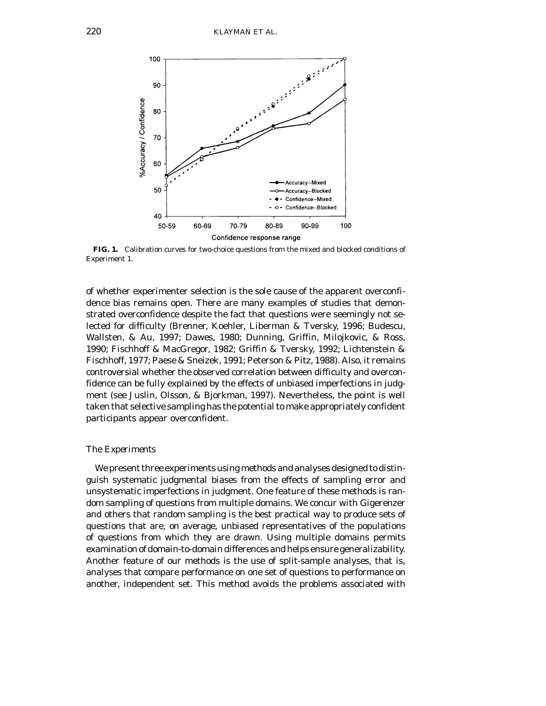

**FIG. 1.** Calibration curves for two-choice questions from the mixed and blocked conditions of Experiment 1.

of whether experimenter selection is the sole cause of the apparent overconfidence bias remains open. There are many examples of studies that demonstrated overconfidence despite the fact that questions were seemingly not selected for difficulty (Brenner, Koehler, Liberman & Tversky, 1996; Budescu, Wallsten, & Au, 1997; Dawes, 1980; Dunning, Griffin, Milojkovic, & Ross, 1990; Fischhoff & MacGregor, 1982; Griffin & Tversky, 1992; Lichtenstein & Fischhoff, 1977; Paese & Sneizek, 1991; Peterson & Pitz, 1988). Also, it remains controversial whether the observed correlation between difficulty and overconfidence can be fully explained by the effects of unbiased imperfections in judg-¨ ment (see Juslin, Olsson, & Bjo rkman, 1997). Nevertheless, the point is well taken that selective sampling has the potential to make appropriately confident participants appear overconfident.

#### *The Experiments*

We present three experiments using methods and analyses designed to distinguish systematic judgmental biases from the effects of sampling error and unsystematic imperfections in judgment. One feature of these methods is random sampling of questions from multiple domains. We concur with Gigerenzer and others that random sampling is the best practical way to produce sets of questions that are, on average, unbiased representatives of the populations of questions from which they are drawn. Using multiple domains permits examination of domain-to-domain differences and helps ensure generalizability. Another feature of our methods is the use of split-sample analyses, that is, analyses that compare performance on one set of questions to performance on another, independent set. This method avoids the problems associated with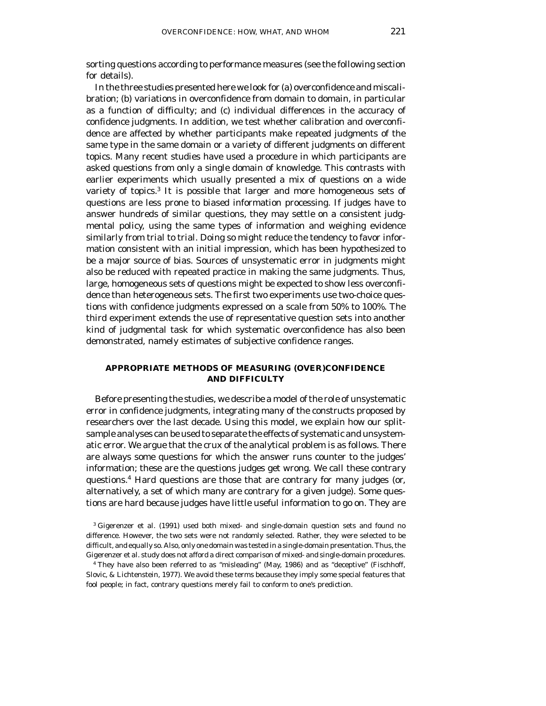sorting questions according to performance measures (see the following section for details).

In the three studies presented here we look for (a) overconfidence and miscalibration; (b) variations in overconfidence from domain to domain, in particular as a function of difficulty; and (c) individual differences in the accuracy of confidence judgments. In addition, we test whether calibration and overconfidence are affected by whether participants make repeated judgments of the same type in the same domain or a variety of different judgments on different topics. Many recent studies have used a procedure in which participants are asked questions from only a single domain of knowledge. This contrasts with earlier experiments which usually presented a mix of questions on a wide variety of topics.<sup>3</sup> It is possible that larger and more homogeneous sets of questions are less prone to biased information processing. If judges have to answer hundreds of similar questions, they may settle on a consistent judgmental policy, using the same types of information and weighing evidence similarly from trial to trial. Doing so might reduce the tendency to favor information consistent with an initial impression, which has been hypothesized to be a major source of bias. Sources of unsystematic error in judgments might also be reduced with repeated practice in making the same judgments. Thus, large, homogeneous sets of questions might be expected to show less overconfidence than heterogeneous sets. The first two experiments use two-choice questions with confidence judgments expressed on a scale from 50% to 100%. The third experiment extends the use of representative question sets into another kind of judgmental task for which systematic overconfidence has also been demonstrated, namely estimates of subjective confidence ranges.

# **APPROPRIATE METHODS OF MEASURING (OVER)CONFIDENCE AND DIFFICULTY**

Before presenting the studies, we describe a model of the role of unsystematic error in confidence judgments, integrating many of the constructs proposed by researchers over the last decade. Using this model, we explain how our splitsample analyses can be used to separate the effects of systematic and unsystematic error. We argue that the crux of the analytical problem is as follows. There are always some questions for which the answer runs counter to the judges' information; these are the questions judges get wrong. We call these *contrary* questions.<sup>4</sup> Hard questions are those that are contrary for many judges (or, alternatively, a set of which many are contrary for a given judge). Some questions are hard because judges have little useful information to go on. They are

<sup>3</sup> Gigerenzer et al. (1991) used both mixed- and single-domain question sets and found no difference. However, the two sets were not randomly selected. Rather, they were selected to be difficult, and equally so. Also, only one domain was tested in a single-domain presentation. Thus, the Gigerenzer et al. study does not afford a direct comparison of mixed- and single-domain procedures.

 $4$  They have also been referred to as "misleading" (May, 1986) and as "deceptive" (Fischhoff, Slovic, & Lichtenstein, 1977). We avoid these terms because they imply some special features that fool people; in fact, contrary questions merely fail to conform to one's prediction.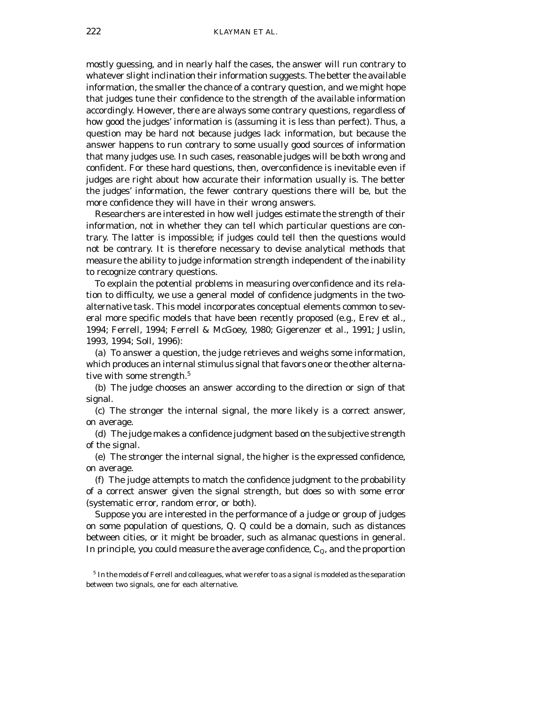mostly guessing, and in nearly half the cases, the answer will run contrary to whatever slight inclination their information suggests. The better the available information, the smaller the chance of a contrary question, and we might hope that judges tune their confidence to the strength of the available information accordingly. However, there are always some contrary questions, regardless of how good the judges' information is (assuming it is less than perfect). Thus, a question may be hard not because judges lack information, but because the answer happens to run contrary to some usually good sources of information that many judges use. In such cases, reasonable judges will be both wrong and confident. For these hard questions, then, overconfidence is inevitable even if judges are right about how accurate their information usually is. The better the judges' information, the fewer contrary questions there will be, but the more confidence they will have in their wrong answers.

Researchers are interested in how well judges estimate the strength of their information, not in whether they can tell which particular questions are contrary. The latter is impossible; if judges could tell then the questions would not be contrary. It is therefore necessary to devise analytical methods that measure the ability to judge information strength independent of the inability to recognize contrary questions.

To explain the potential problems in measuring overconfidence and its relation to difficulty, we use a general model of confidence judgments in the twoalternative task. This model incorporates conceptual elements common to several more specific models that have been recently proposed (e.g., Erev et al., 1994; Ferrell, 1994; Ferrell & McGoey, 1980; Gigerenzer et al., 1991; Juslin, 1993, 1994; Soll, 1996):

(a) To answer a question, the judge retrieves and weighs some information, which produces an internal stimulus signal that favors one or the other alternative with some strength.<sup>5</sup>

(b) The judge chooses an answer according to the direction or sign of that signal.

(c) The stronger the internal signal, the more likely is a correct answer, on average.

(d) The judge makes a confidence judgment based on the subjective strength of the signal.

(e) The stronger the internal signal, the higher is the expressed confidence, on average.

(f) The judge attempts to match the confidence judgment to the probability of a correct answer given the signal strength, but does so with some error (systematic error, random error, or both).

Suppose you are interested in the performance of a judge or group of judges on some population of questions, Q. Q could be a domain, such as distances between cities, or it might be broader, such as almanac questions in general. In principle, you could measure the average confidence,  $C_{\Omega}$ , and the proportion

<sup>5</sup> In the models of Ferrell and colleagues, what we refer to as a signal is modeled as the separation between two signals, one for each alternative.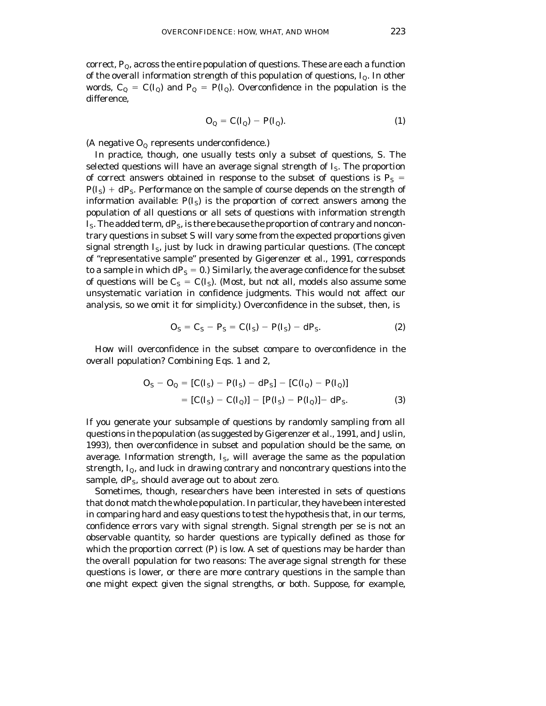correct,  $P_{\text{Q}}$ , across the entire population of questions. These are each a function of the overall information strength of this population of questions, *I*Q. In other words,  $C_0 = C(I_0)$  and  $P_0 = P(I_0)$ . Overconfidence in the population is the difference,

$$
O_{\mathbf{Q}} = C(I_{\mathbf{Q}}) - P(I_{\mathbf{Q}}). \tag{1}
$$

(A negative  $O_Q$  represents underconfidence.)

In practice, though, one usually tests only a subset of questions, S. The selected questions will have an average signal strength of  $I_{\rm S}$ . The proportion of correct answers obtained in response to the subset of questions is  $P_S =$  $P(I<sub>S</sub>)$  +  $dP<sub>S</sub>$ . Performance on the sample of course depends on the strength of information available:  $P(I_S)$  is the proportion of correct answers among the population of all questions or all sets of questions with information strength  $I_{S}$ . The added term,  $dP_{S}$ , is there because the proportion of contrary and noncontrary questions in subset S will vary some from the expected proportions given signal strength  $I_S$ , just by luck in drawing particular questions. (The concept of "representative sample" presented by Gigerenzer et al., 1991, corresponds to a sample in which  $dP_S = 0$ .) Similarly, the average confidence for the subset of questions will be  $C_S = C(I_S)$ . (Most, but not all, models also assume some unsystematic variation in confidence judgments. This would not affect our analysis, so we omit it for simplicity.) Overconfidence in the subset, then, is

$$
O_{\rm S} = C_{\rm S} - P_{\rm S} = C(I_{\rm S}) - P(I_{\rm S}) - dP_{\rm S}.
$$
 (2)

How will overconfidence in the subset compare to overconfidence in the overall population? Combining Eqs. 1 and 2,

$$
O_{\rm S} - O_{\rm Q} = [C(I_{\rm S}) - P(I_{\rm S}) - dP_{\rm S}] - [C(I_{\rm Q}) - P(I_{\rm Q})]
$$
  
= [C(I\_{\rm S}) - C(I\_{\rm Q})] - [P(I\_{\rm S}) - P(I\_{\rm Q})] - dP\_{\rm S}. (3)

If you generate your subsample of questions by randomly sampling from all questions in the population (as suggested by Gigerenzer et al., 1991, and Juslin, 1993), then overconfidence in subset and population should be the same, on average. Information strength,  $I_{S}$ , will average the same as the population strength,  $I_0$ , and luck in drawing contrary and noncontrary questions into the sample,  $dP<sub>S</sub>$ , should average out to about zero.

Sometimes, though, researchers have been interested in sets of questions that do not match the whole population. In particular, they have been interested in comparing hard and easy questions to test the hypothesis that, in our terms, confidence errors vary with signal strength. Signal strength per se is not an observable quantity, so harder questions are typically defined as those for which the proportion correct  $(P)$  is low. A set of questions may be harder than the overall population for two reasons: The average signal strength for these questions is lower, or there are more contrary questions in the sample than one might expect given the signal strengths, or both. Suppose, for example,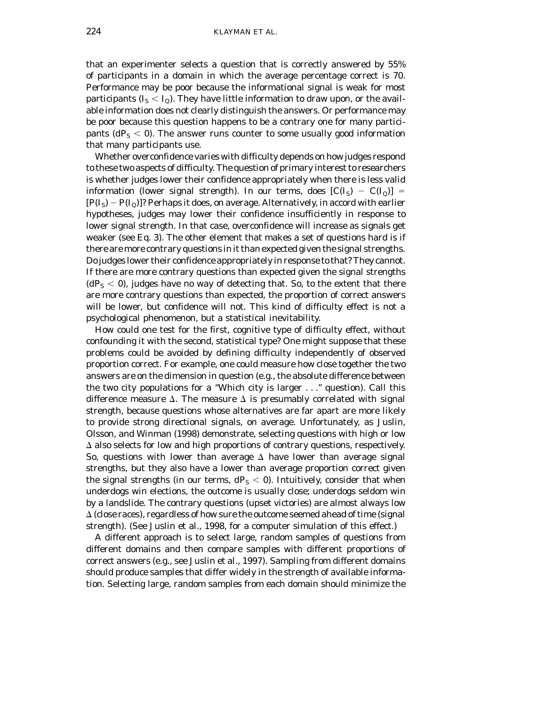that an experimenter selects a question that is correctly answered by 55% of participants in a domain in which the average percentage correct is 70. Performance may be poor because the informational signal is weak for most participants ( $I_\mathrm{S} < I_\mathrm{Q}$ ). They have little information to draw upon, or the available information does not clearly distinguish the answers. Or performance may be poor because this question happens to be a contrary one for many participants  $(dP<sub>S</sub> < 0)$ . The answer runs counter to some usually good information that many participants use.

Whether overconfidence varies with difficulty depends on how judges respond to these two aspects of difficulty. The question of primary interest to researchers is whether judges lower their confidence appropriately when there is less valid information (lower signal strength). In our terms, does  $[C(I_S) - C(I_O)] =$  $[P(I_S) - P(I_Q)]$ ? Perhaps it does, on average. Alternatively, in accord with earlier hypotheses, judges may lower their confidence insufficiently in response to lower signal strength. In that case, overconfidence will increase as signals get weaker (see Eq. 3). The other element that makes a set of questions hard is if there are more contrary questions in it than expected given the signal strengths. Do judges lower their confidence appropriately in response to that? They cannot. If there are more contrary questions than expected given the signal strengths  $(dP_\mathrm{S} < 0)$ , judges have no way of detecting that. So, to the extent that there are more contrary questions than expected, the proportion of correct answers will be lower, but confidence will not. This kind of difficulty effect is not a psychological phenomenon, but a statistical inevitability.

How could one test for the first, cognitive type of difficulty effect, without confounding it with the second, statistical type? One might suppose that these problems could be avoided by defining difficulty independently of observed proportion correct. For example, one could measure how close together the two answers are on the dimension in question (e.g., the absolute difference between the two city populations for a "Which city is larger . . ." question). Call this difference measure  $\Delta$ . The measure  $\Delta$  is presumably correlated with signal strength, because questions whose alternatives are far apart are more likely to provide strong directional signals, on average. Unfortunately, as Juslin, Olsson, and Winman (1998) demonstrate, selecting questions with high or low  $\Delta$  also selects for low and high proportions of contrary questions, respectively. So, questions with lower than average  $\Delta$  have lower than average signal strengths, but they also have a lower than average proportion correct given the signal strengths (in our terms,  $dP_S < 0$ ). Intuitively, consider that when underdogs win elections, the outcome is usually close; underdogs seldom win by a landslide. The contrary questions (upset victories) are almost always low  $\Delta$  (close races), regardless of how sure the outcome seemed ahead of time (signal strength). (See Juslin et al., 1998, for a computer simulation of this effect.)

A different approach is to select large, random samples of questions from different domains and then compare samples with different proportions of correct answers (e.g., see Juslin et al., 1997). Sampling from different domains should produce samples that differ widely in the strength of available information. Selecting large, random samples from each domain should minimize the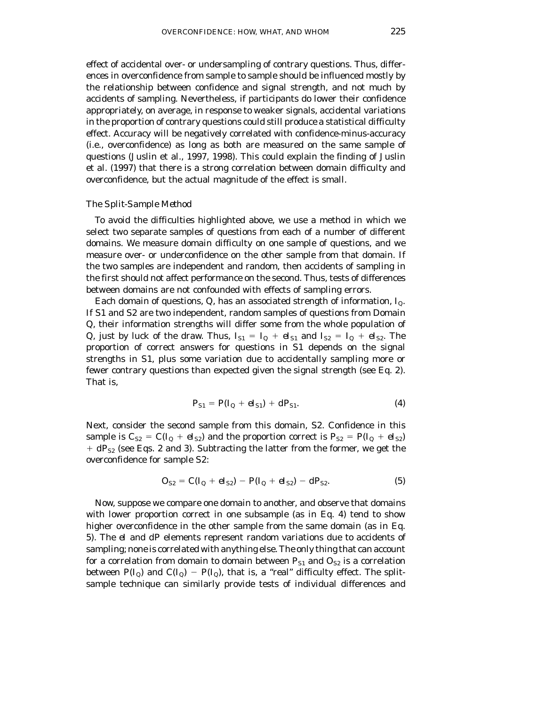effect of accidental over- or undersampling of contrary questions. Thus, differences in overconfidence from sample to sample should be influenced mostly by the relationship between confidence and signal strength, and not much by accidents of sampling. Nevertheless, if participants do lower their confidence appropriately, on average, in response to weaker signals, accidental variations in the proportion of contrary questions could still produce a statistical difficulty effect. Accuracy will be negatively correlated with confidence-minus-accuracy (i.e., overconfidence) as long as both are measured on the same sample of questions (Juslin et al., 1997, 1998). This could explain the finding of Juslin et al. (1997) that there is a strong correlation between domain difficulty and overconfidence, but the actual magnitude of the effect is small.

#### *The Split-Sample Method*

To avoid the difficulties highlighted above, we use a method in which we select two separate samples of questions from each of a number of different domains. We measure domain difficulty on one sample of questions, and we measure over- or underconfidence on the other sample from that domain. If the two samples are independent and random, then accidents of sampling in the first should not affect performance on the second. Thus, tests of differences between domains are not confounded with effects of sampling errors.

Each domain of questions, Q, has an associated strength of information,  $I_0$ . If S1 and S2 are two independent, random samples of questions from Domain Q, their information strengths will differ some from the whole population of Q, just by luck of the draw. Thus,  $I_{S1} = I_Q + eI_{S1}$  and  $I_{S2} = I_Q + eI_{S2}$ . The proportion of correct answers for questions in S1 depends on the signal strengths in S1, plus some variation due to accidentally sampling more or fewer contrary questions than expected given the signal strength (see Eq. 2). That is,

$$
P_{S1} = P(I_{Q} + eI_{S1}) + dP_{S1}.
$$
 (4)

Next, consider the second sample from this domain, S2. Confidence in this sample is  $C_{S2} = C(I_Q + eI_{S2})$  and the proportion correct is  $P_{S2} = P(I_Q + eI_{S2})$  $+$   $dP_{S2}$  (see Eqs. 2 and 3). Subtracting the latter from the former, we get the overconfidence for sample S2:

$$
O_{S2} = C(I_Q + eI_{S2}) - P(I_Q + eI_{S2}) - dP_{S2}.
$$
\n(5)

Now, suppose we compare one domain to another, and observe that domains with lower proportion correct in one subsample (as in Eq. 4) tend to show higher overconfidence in the other sample from the same domain (as in Eq. 5). The *eI* and *dP* elements represent random variations due to accidents of sampling; none is correlated with anything else. The only thing that can account for a correlation from domain to domain between  $P_{S1}$  and  $O_{S2}$  is a correlation between  $P(I_0)$  and  $C(I_0) - P(I_0)$ , that is, a "real" difficulty effect. The splitsample technique can similarly provide tests of individual differences and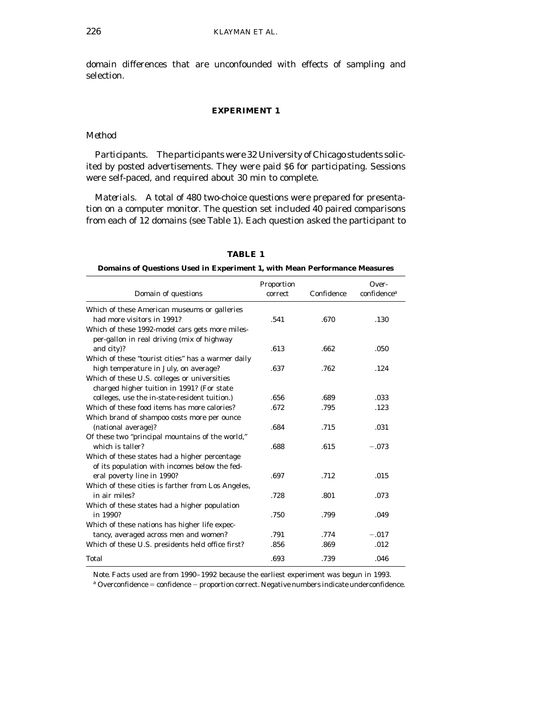domain differences that are unconfounded with effects of sampling and selection.

#### **EXPERIMENT 1**

*Method*

*Participants.* The participants were 32 University of Chicago students solicited by posted advertisements. They were paid \$6 for participating. Sessions were self-paced, and required about 30 min to complete.

*Materials.* A total of 480 two-choice questions were prepared for presentation on a computer monitor. The question set included 40 paired comparisons from each of 12 domains (see Table 1). Each question asked the participant to

| Domain of questions                                                                            | Proportion<br>correct | Confidence | Over-<br>confidence <sup>a</sup> |
|------------------------------------------------------------------------------------------------|-----------------------|------------|----------------------------------|
| Which of these American museums or galleries                                                   |                       |            |                                  |
| had more visitors in 1991?                                                                     | .541                  | .670       | .130                             |
| Which of these 1992-model cars gets more miles-<br>per-gallon in real driving (mix of highway  |                       |            |                                  |
| and city)?                                                                                     | .613                  | .662       | .050                             |
| Which of these "tourist cities" has a warmer daily                                             |                       |            |                                  |
| high temperature in July, on average?                                                          | .637                  | .762       | .124                             |
| Which of these U.S. colleges or universities<br>charged higher tuition in 1991? (For state     |                       |            |                                  |
| colleges, use the in-state-resident tuition.)                                                  | .656                  | .689       | .033                             |
| Which of these food items has more calories?                                                   | .672                  | .795       | .123                             |
| Which brand of shampoo costs more per ounce<br>(national average)?                             | .684                  | .715       | .031                             |
| Of these two "principal mountains of the world,"                                               |                       |            |                                  |
| which is taller?                                                                               | .688                  | .615       | $-.073$                          |
| Which of these states had a higher percentage<br>of its population with incomes below the fed- |                       |            |                                  |
| eral poverty line in 1990?                                                                     | .697                  | .712       | .015                             |
| Which of these cities is farther from Los Angeles,<br>in air miles?                            | .728                  | .801       | .073                             |
| Which of these states had a higher population<br>in 1990?                                      | .750                  | .799       | .049                             |
| Which of these nations has higher life expec-                                                  |                       |            |                                  |
| tancy, averaged across men and women?                                                          | .791                  | .774       | $-.017$                          |
| Which of these U.S. presidents held office first?                                              | .856                  | .869       | .012                             |
| Total                                                                                          | .693                  | .739       | .046                             |

**TABLE 1**

#### **Domains of Questions Used in Experiment 1, with Mean Performance Measures**

*Note*. Facts used are from 1990–1992 because the earliest experiment was begun in 1993.

*a* Overconfidence = confidence - proportion correct. Negative numbers indicate underconfidence.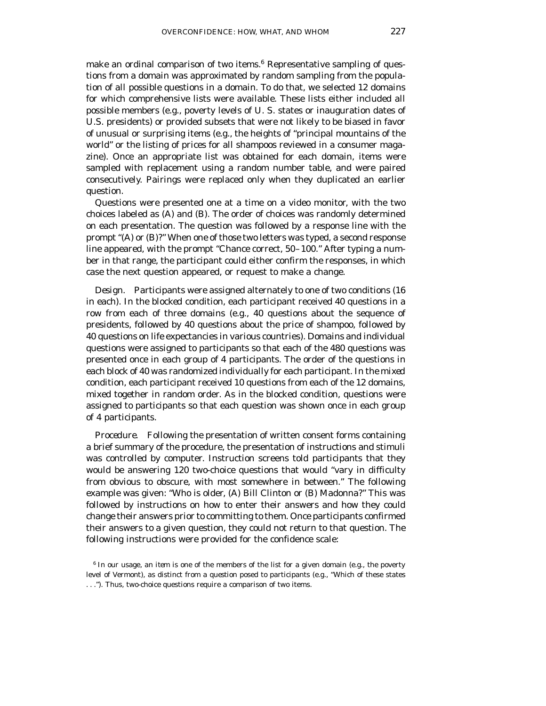make an ordinal comparison of two items.<sup>6</sup> Representative sampling of questions from a domain was approximated by random sampling from the population of all possible questions in a domain. To do that, we selected 12 domains for which comprehensive lists were available. These lists either included all possible members (e.g., poverty levels of U. S. states or inauguration dates of U.S. presidents) or provided subsets that were not likely to be biased in favor of unusual or surprising items (e.g., the heights of "principal mountains of the world" or the listing of prices for all shampoos reviewed in a consumer magazine). Once an appropriate list was obtained for each domain, items were sampled with replacement using a random number table, and were paired consecutively. Pairings were replaced only when they duplicated an earlier question.

Questions were presented one at a time on a video monitor, with the two choices labeled as (A) and (B). The order of choices was randomly determined on each presentation. The question was followed by a response line with the prompt "(A) or (B)?" When one of those two letters was typed, a second response line appeared, with the prompt "Chance correct, 50–100." After typing a number in that range, the participant could either confirm the responses, in which case the next question appeared, or request to make a change.

*Design.* Participants were assigned alternately to one of two conditions (16 in each). In the *blocked* condition, each participant received 40 questions in a row from each of three domains (e.g., 40 questions about the sequence of presidents, followed by 40 questions about the price of shampoo, followed by 40 questions on life expectancies in various countries). Domains and individual questions were assigned to participants so that each of the 480 questions was presented once in each group of 4 participants. The order of the questions in each block of 40 was randomized individually for each participant. In the *mixed* condition, each participant received 10 questions from each of the 12 domains, mixed together in random order. As in the blocked condition, questions were assigned to participants so that each question was shown once in each group of 4 participants.

*Procedure.* Following the presentation of written consent forms containing a brief summary of the procedure, the presentation of instructions and stimuli was controlled by computer. Instruction screens told participants that they would be answering 120 two-choice questions that would "vary in difficulty from obvious to obscure, with most somewhere in between." The following example was given: "Who is older, (A) Bill Clinton or (B) Madonna?" This was followed by instructions on how to enter their answers and how they could change their answers prior to committing to them. Once participants confirmed their answers to a given question, they could not return to that question. The following instructions were provided for the confidence scale:

<sup>6</sup> In our usage, an *item* is one of the members of the list for a given domain (e.g., the poverty level of Vermont), as distinct from a *question* posed to participants (e.g., "Which of these states . . ."). Thus, two-choice questions require a comparison of two items.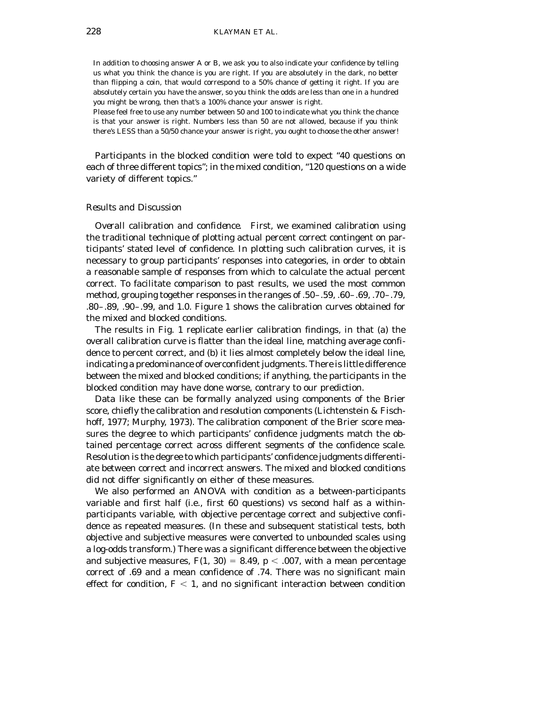In addition to choosing answer A or B, we ask you to also indicate your confidence by telling us what you think the chance is you are right. If you are absolutely in the dark, no better than flipping a coin, that would correspond to a 50% chance of getting it right. If you are absolutely certain you have the answer, so you think the odds are less than one in a hundred you might be wrong, then that's a 100% chance your answer is right.

Please feel free to use any number between 50 and 100 to indicate what you think the chance is that your answer is right. Numbers less than 50 are not allowed, because if you think there's LESS than a 50/50 chance your answer is right, you ought to choose the other answer!

Participants in the blocked condition were told to expect "40 questions on each of three different topics"; in the mixed condition, "120 questions on a wide variety of different topics."

# *Results and Discussion*

*Overall calibration and confidence.* First, we examined calibration using the traditional technique of plotting actual percent correct contingent on participants' stated level of confidence. In plotting such calibration curves, it is necessary to group participants' responses into categories, in order to obtain a reasonable sample of responses from which to calculate the actual percent correct. To facilitate comparison to past results, we used the most common method, grouping together responses in the ranges of .50–.59, .60–.69, .70–.79, .80–.89, .90–.99, and 1.0. Figure 1 shows the calibration curves obtained for the mixed and blocked conditions.

The results in Fig. 1 replicate earlier calibration findings, in that (a) the overall calibration curve is flatter than the ideal line, matching average confidence to percent correct, and (b) it lies almost completely below the ideal line, indicating a predominance of overconfident judgments. There is little difference between the mixed and blocked conditions; if anything, the participants in the blocked condition may have done worse, contrary to our prediction.

Data like these can be formally analyzed using components of the Brier score, chiefly the calibration and resolution components (Lichtenstein & Fischhoff, 1977; Murphy, 1973). The calibration component of the Brier score measures the degree to which participants' confidence judgments match the obtained percentage correct across different segments of the confidence scale. Resolution is the degree to which participants' confidence judgments differentiate between correct and incorrect answers. The mixed and blocked conditions did not differ significantly on either of these measures.

We also performed an ANOVA with condition as a between-participants variable and first half (i.e., first 60 questions) vs second half as a withinparticipants variable, with objective percentage correct and subjective confidence as repeated measures. (In these and subsequent statistical tests, both objective and subjective measures were converted to unbounded scales using a log-odds transform.) There was a significant difference between the objective and subjective measures,  $F(1, 30) = 8.49$ ,  $p < .007$ , with a mean percentage correct of .69 and a mean confidence of .74. There was no significant main effect for condition,  $F < 1$ , and no significant interaction between condition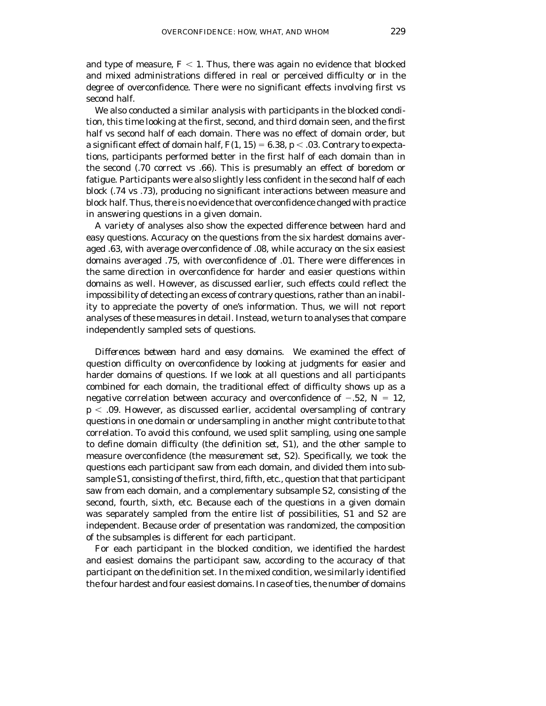and type of measure,  $F < 1$ . Thus, there was again no evidence that blocked and mixed administrations differed in real or perceived difficulty or in the degree of overconfidence. There were no significant effects involving first vs second half.

We also conducted a similar analysis with participants in the blocked condition, this time looking at the first, second, and third domain seen, and the first half vs second half of each domain. There was no effect of domain order, but a significant effect of domain half,  $F(1, 15) = 6.38$ ,  $p < .03$ . Contrary to expectations, participants performed better in the first half of each domain than in the second (.70 correct vs .66). This is presumably an effect of boredom or fatigue. Participants were also slightly less confident in the second half of each block (.74 vs .73), producing no significant interactions between measure and block half. Thus, there is no evidence that overconfidence changed with practice in answering questions in a given domain.

A variety of analyses also show the expected difference between hard and easy questions. Accuracy on the questions from the six hardest domains averaged .63, with average overconfidence of .08, while accuracy on the six easiest domains averaged .75, with overconfidence of .01. There were differences in the same direction in overconfidence for harder and easier questions within domains as well. However, as discussed earlier, such effects could reflect the impossibility of detecting an excess of contrary questions, rather than an inability to appreciate the poverty of one's information. Thus, we will not report analyses of these measures in detail. Instead, we turn to analyses that compare independently sampled sets of questions.

*Differences between hard and easy domains.* We examined the effect of question difficulty on overconfidence by looking at judgments for easier and harder domains of questions. If we look at all questions and all participants combined for each domain, the traditional effect of difficulty shows up as a negative correlation between accuracy and overconfidence of  $-.52$ ,  $N = 12$ ,  $p < .09$ . However, as discussed earlier, accidental oversampling of contrary questions in one domain or undersampling in another might contribute to that correlation. To avoid this confound, we used split sampling, using one sample to define domain difficulty (the *definition set*, S1), and the other sample to measure overconfidence (the *measurement set*, S2). Specifically, we took the questions each participant saw from each domain, and divided them into subsample S1, consisting of the first, third, fifth, etc., question that that participant saw from each domain, and a complementary subsample S2, consisting of the second, fourth, sixth, etc. Because each of the questions in a given domain was separately sampled from the entire list of possibilities, S1 and S2 are independent. Because order of presentation was randomized, the composition of the subsamples is different for each participant.

For each participant in the blocked condition, we identified the hardest and easiest domains the participant saw, according to the accuracy of that participant on the definition set. In the mixed condition, we similarly identified the four hardest and four easiest domains. In case of ties, the number of domains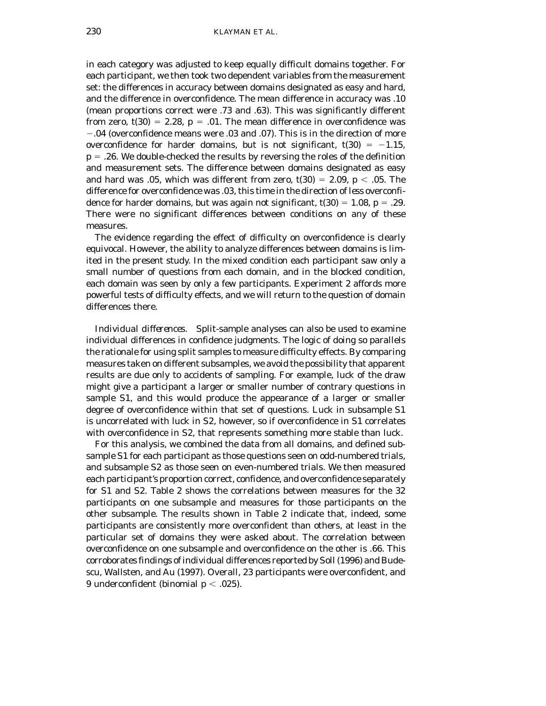in each category was adjusted to keep equally difficult domains together. For each participant, we then took two dependent variables from the measurement set: the differences in accuracy between domains designated as easy and hard, and the difference in overconfidence. The mean difference in accuracy was .10 (mean proportions correct were .73 and .63). This was significantly different from zero,  $t(30) = 2.28$ ,  $p = .01$ . The mean difference in overconfidence was  $-0.04$  (overconfidence means were .03 and .07). This is in the direction of more overconfidence for harder domains, but is not significant,  $t(30) = -1.15$ ,  $p = .26$ . We double-checked the results by reversing the roles of the definition and measurement sets. The difference between domains designated as easy and hard was .05, which was different from zero,  $t(30) = 2.09$ ,  $p < .05$ . The difference for overconfidence was .03, this time in the direction of *less* overconfidence for harder domains, but was again not significant,  $t(30) = 1.08$ ,  $p = .29$ . There were no significant differences between conditions on any of these measures.

The evidence regarding the effect of difficulty on overconfidence is clearly equivocal. However, the ability to analyze differences between domains is limited in the present study. In the mixed condition each participant saw only a small number of questions from each domain, and in the blocked condition, each domain was seen by only a few participants. Experiment 2 affords more powerful tests of difficulty effects, and we will return to the question of domain differences there.

*Individual differences.* Split-sample analyses can also be used to examine individual differences in confidence judgments. The logic of doing so parallels the rationale for using split samples to measure difficulty effects. By comparing measures taken on different subsamples, we avoid the possibility that apparent results are due only to accidents of sampling. For example, luck of the draw might give a participant a larger or smaller number of contrary questions in sample S1, and this would produce the appearance of a larger or smaller degree of overconfidence within that set of questions. Luck in subsample S1 is uncorrelated with luck in S2, however, so if overconfidence in S1 correlates with overconfidence in S2, that represents something more stable than luck.

For this analysis, we combined the data from all domains, and defined subsample S1 for each participant as those questions seen on odd-numbered trials, and subsample S2 as those seen on even-numbered trials. We then measured each participant's proportion correct, confidence, and overconfidence separately for S1 and S2. Table 2 shows the correlations between measures for the 32 participants on one subsample and measures for those participants on the other subsample. The results shown in Table 2 indicate that, indeed, some participants are consistently more overconfident than others, at least in the particular set of domains they were asked about. The correlation between overconfidence on one subsample and overconfidence on the other is .66. This corroborates findings of individual differences reported by Soll (1996) and Budescu, Wallsten, and Au (1997). Overall, 23 participants were overconfident, and 9 underconfident (binomial  $p < .025$ ).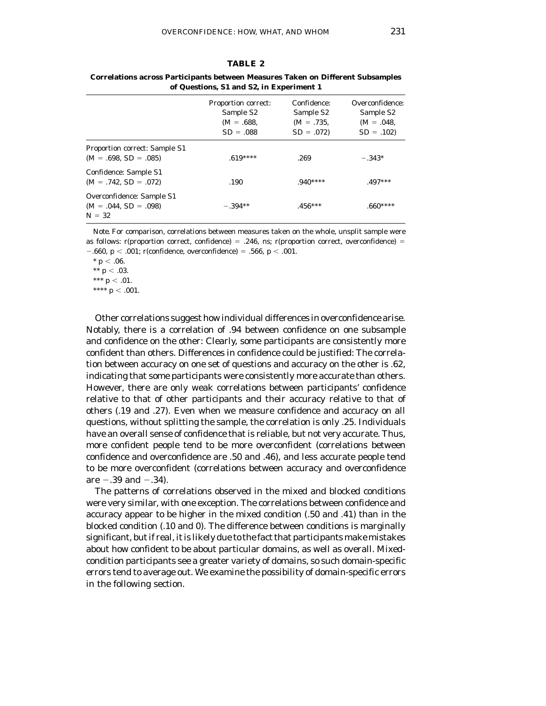#### **TABLE 2**

|                                                                  | <b>Proportion correct:</b><br>Sample S <sub>2</sub><br>$(M = .688)$ .<br>$SD = .088$ | Confidence:<br>Sample S <sub>2</sub><br>$(M = .735)$ .<br>$SD = .072$ | Overconfidence:<br>Sample S <sub>2</sub><br>$(M = .048)$<br>$SD = .102$ |
|------------------------------------------------------------------|--------------------------------------------------------------------------------------|-----------------------------------------------------------------------|-------------------------------------------------------------------------|
| Proportion correct: Sample S1<br>$(M = .698, SD = .085)$         | $.619***$                                                                            | .269                                                                  | $-.343*$                                                                |
| Confidence: Sample S1<br>$(M = .742, SD = .072)$                 | .190                                                                                 | $.940***$                                                             | $.497***$                                                               |
| Overconfidence: Sample S1<br>$(M = .044, SD = .098)$<br>$N = 32$ | $-.394**$                                                                            | $.456***$                                                             | $.660***$                                                               |

#### **Correlations across Participants between Measures Taken on Different Subsamples of Questions, S1 and S2, in Experiment 1**

*Note*. For comparison, correlations between measures taken on the whole, unsplit sample were as follows: *r*(proportion correct, confidence) = .246, *ns*; *r*(proportion correct, overconfidence) =  $-0.660, p < .001$ ; *r*(confidence, overconfidence) = .566, *p* < .001.

Other correlations suggest how individual differences in overconfidence arise. Notably, there is a correlation of .94 between confidence on one subsample and confidence on the other: Clearly, some participants are consistently more confident than others. Differences in confidence could be justified: The correlation between accuracy on one set of questions and accuracy on the other is .62, indicating that some participants were consistently more accurate than others. However, there are only weak correlations between participants' confidence relative to that of other participants and their accuracy relative to that of others (.19 and .27). Even when we measure confidence and accuracy on all questions, without splitting the sample, the correlation is only .25. Individuals have an overall sense of confidence that is reliable, but not very accurate. Thus, more confident people tend to be more overconfident (correlations between confidence and overconfidence are .50 and .46), and less accurate people tend to be more overconfident (correlations between accuracy and overconfidence are  $-.39$  and  $-.34$ ).

The patterns of correlations observed in the mixed and blocked conditions were very similar, with one exception. The correlations between confidence and accuracy appear to be higher in the mixed condition (.50 and .41) than in the blocked condition (.10 and 0). The difference between conditions is marginally significant, but if real, it is likely due to the fact that participants make mistakes about how confident to be about particular domains, as well as overall. Mixedcondition participants see a greater variety of domains, so such domain-specific errors tend to average out. We examine the possibility of domain-specific errors in the following section.

 $* p < .06.$ \*\*  $p < .03$ . \*\*\*  $p < .01$ . \*\*\*\*  $p < .001$ .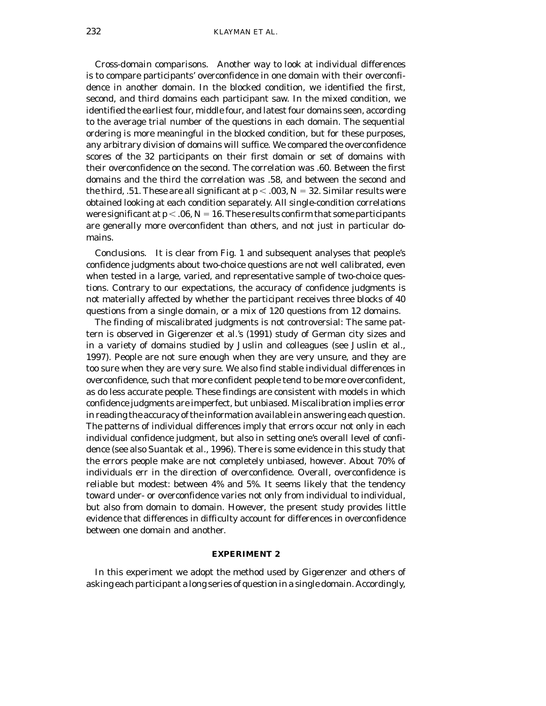## 232 KLAYMAN ET AL.

*Cross-domain comparisons.* Another way to look at individual differences is to compare participants' overconfidence in one domain with their overconfidence in another domain. In the blocked condition, we identified the first, second, and third domains each participant saw. In the mixed condition, we identified the earliest four, middle four, and latest four domains seen, according to the average trial number of the questions in each domain. The sequential ordering is more meaningful in the blocked condition, but for these purposes, any arbitrary division of domains will suffice. We compared the overconfidence scores of the 32 participants on their first domain or set of domains with their overconfidence on the second. The correlation was .60. Between the first domains and the third the correlation was .58, and between the second and the third, .51. These are all significant at  $p < .003$ ,  $N = 32$ . Similar results were obtained looking at each condition separately. All single-condition correlations were significant at  $p < .06$ ,  $N = 16$ . These results confirm that some participants are generally more overconfident than others, and not just in particular domains.

*Conclusions.* It is clear from Fig. 1 and subsequent analyses that people's confidence judgments about two-choice questions are not well calibrated, even when tested in a large, varied, and representative sample of two-choice questions. Contrary to our expectations, the accuracy of confidence judgments is not materially affected by whether the participant receives three blocks of 40 questions from a single domain, or a mix of 120 questions from 12 domains.

The finding of miscalibrated judgments is not controversial: The same pattern is observed in Gigerenzer et al.'s (1991) study of German city sizes and in a variety of domains studied by Juslin and colleagues (see Juslin et al., 1997). People are not sure enough when they are very unsure, and they are too sure when they are very sure. We also find stable individual differences in overconfidence, such that more confident people tend to be more overconfident, as do less accurate people. These findings are consistent with models in which confidence judgments are imperfect, but unbiased. Miscalibration implies error in reading the accuracy of the information available in answering each question. The patterns of individual differences imply that errors occur not only in each individual confidence judgment, but also in setting one's overall level of confidence (see also Suantak et al., 1996). There is some evidence in this study that the errors people make are not completely unbiased, however. About 70% of individuals err in the direction of overconfidence. Overall, overconfidence is reliable but modest: between 4% and 5%. It seems likely that the tendency toward under- or overconfidence varies not only from individual to individual, but also from domain to domain. However, the present study provides little evidence that differences in difficulty account for differences in overconfidence between one domain and another.

#### **EXPERIMENT 2**

In this experiment we adopt the method used by Gigerenzer and others of asking each participant a long series of question in a single domain. Accordingly,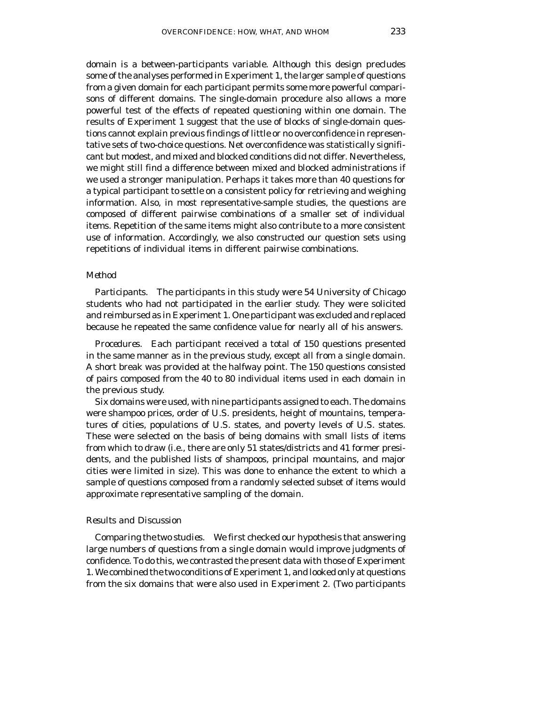domain is a between-participants variable. Although this design precludes some of the analyses performed in Experiment 1, the larger sample of questions from a given domain for each participant permits some more powerful comparisons of different domains. The single-domain procedure also allows a more powerful test of the effects of repeated questioning within one domain. The results of Experiment 1 suggest that the use of blocks of single-domain questions cannot explain previous findings of little or no overconfidence in representative sets of two-choice questions. Net overconfidence was statistically significant but modest, and mixed and blocked conditions did not differ. Nevertheless, we might still find a difference between mixed and blocked administrations if we used a stronger manipulation. Perhaps it takes more than 40 questions for a typical participant to settle on a consistent policy for retrieving and weighing information. Also, in most representative-sample studies, the questions are composed of different pairwise combinations of a smaller set of individual items. Repetition of the same items might also contribute to a more consistent use of information. Accordingly, we also constructed our question sets using repetitions of individual items in different pairwise combinations.

#### *Method*

*Participants.* The participants in this study were 54 University of Chicago students who had not participated in the earlier study. They were solicited and reimbursed as in Experiment 1. One participant was excluded and replaced because he repeated the same confidence value for nearly all of his answers.

*Procedures.* Each participant received a total of 150 questions presented in the same manner as in the previous study, except all from a single domain. A short break was provided at the halfway point. The 150 questions consisted of pairs composed from the 40 to 80 individual items used in each domain in the previous study.

Six domains were used, with nine participants assigned to each. The domains were shampoo prices, order of U.S. presidents, height of mountains, temperatures of cities, populations of U.S. states, and poverty levels of U.S. states. These were selected on the basis of being domains with small lists of items from which to draw (i.e., there are only 51 states/districts and 41 former presidents, and the published lists of shampoos, principal mountains, and major cities were limited in size). This was done to enhance the extent to which a sample of questions composed from a randomly selected subset of items would approximate representative sampling of the domain.

# *Results and Discussion*

*Comparing the two studies.* We first checked our hypothesis that answering large numbers of questions from a single domain would improve judgments of confidence. To do this, we contrasted the present data with those of Experiment 1. We combined the two conditions of Experiment 1, and looked only at questions from the six domains that were also used in Experiment 2. (Two participants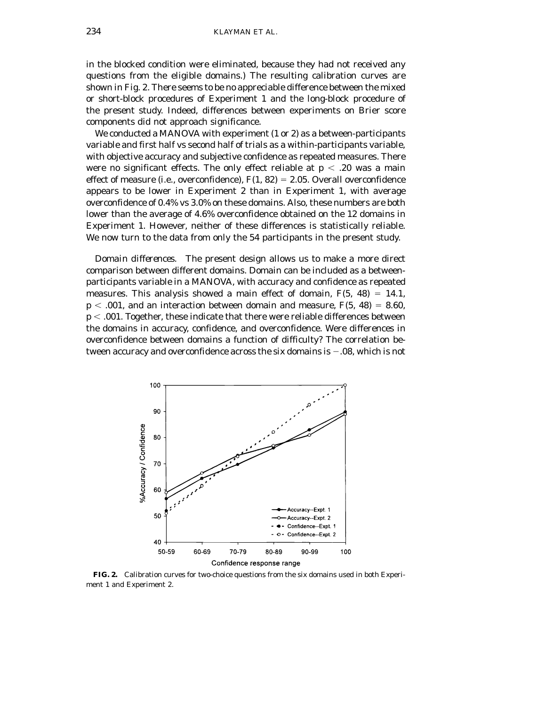in the blocked condition were eliminated, because they had not received any questions from the eligible domains.) The resulting calibration curves are shown in Fig. 2. There seems to be no appreciable difference between the mixed or short-block procedures of Experiment 1 and the long-block procedure of the present study. Indeed, differences between experiments on Brier score components did not approach significance.

We conducted a MANOVA with experiment (1 or 2) as a between-participants variable and first half vs second half of trials as a within-participants variable, with objective accuracy and subjective confidence as repeated measures. There were no significant effects. The only effect reliable at  $p < .20$  was a main effect of measure (i.e., overconfidence),  $F(1, 82) = 2.05$ . Overall overconfidence appears to be lower in Experiment 2 than in Experiment 1, with average overconfidence of 0.4% vs 3.0% on these domains. Also, these numbers are both lower than the average of 4.6% overconfidence obtained on the 12 domains in Experiment 1. However, neither of these differences is statistically reliable. We now turn to the data from only the 54 participants in the present study.

*Domain differences.* The present design allows us to make a more direct comparison between different domains. Domain can be included as a betweenparticipants variable in a MANOVA, with accuracy and confidence as repeated measures. This analysis showed a main effect of domain,  $F(5, 48) = 14.1$ ,  $p < .001$ , and an interaction between domain and measure,  $F(5, 48) = 8.60$ ,  $p<.001$ . Together, these indicate that there were reliable differences between the domains in accuracy, confidence, and overconfidence. Were differences in overconfidence between domains a function of difficulty? The correlation between accuracy and overconfidence across the six domains is  $-.08$ , which is not



**FIG. 2.** Calibration curves for two-choice questions from the six domains used in both Experiment 1 and Experiment 2.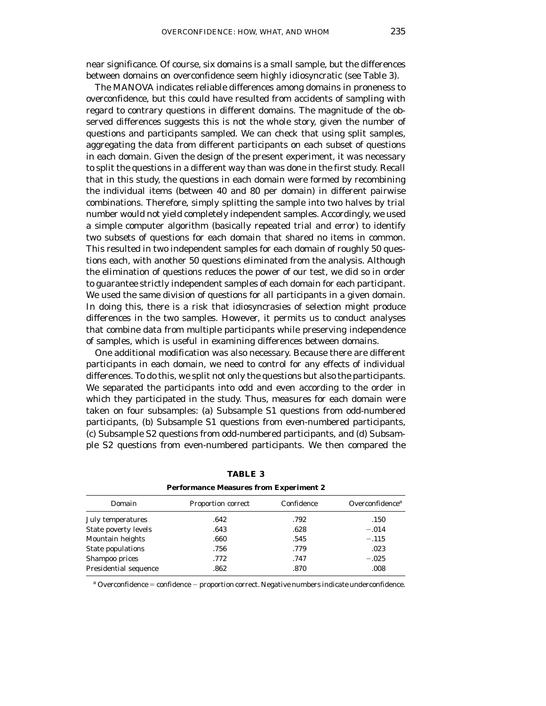near significance. Of course, six domains is a small sample, but the differences between domains on overconfidence seem highly idiosyncratic (see Table 3).

The MANOVA indicates reliable differences among domains in proneness to overconfidence, but this could have resulted from accidents of sampling with regard to contrary questions in different domains. The magnitude of the observed differences suggests this is not the whole story, given the number of questions and participants sampled. We can check that using split samples, aggregating the data from different participants on each subset of questions in each domain. Given the design of the present experiment, it was necessary to split the questions in a different way than was done in the first study. Recall that in this study, the questions in each domain were formed by recombining the individual items (between 40 and 80 per domain) in different pairwise combinations. Therefore, simply splitting the sample into two halves by trial number would not yield completely independent samples. Accordingly, we used a simple computer algorithm (basically repeated trial and error) to identify two subsets of questions for each domain that shared no items in common. This resulted in two independent samples for each domain of roughly 50 questions each, with another 50 questions eliminated from the analysis. Although the elimination of questions reduces the power of our test, we did so in order to guarantee strictly independent samples of each domain for each participant. We used the same division of questions for all participants in a given domain. In doing this, there is a risk that idiosyncrasies of selection might produce differences in the two samples. However, it permits us to conduct analyses that combine data from multiple participants while preserving independence of samples, which is useful in examining differences between domains.

One additional modification was also necessary. Because there are different participants in each domain, we need to control for any effects of individual differences. To do this, we split not only the questions but also the participants. We separated the participants into odd and even according to the order in which they participated in the study. Thus, measures for each domain were taken on four subsamples: (a) Subsample S1 questions from odd-numbered participants, (b) Subsample S1 questions from even-numbered participants, (c) Subsample S2 questions from odd-numbered participants, and (d) Subsample S2 questions from even-numbered participants. We then compared the

| <b>Performance Measures from Experiment 2</b> |                    |            |                             |
|-----------------------------------------------|--------------------|------------|-----------------------------|
| Domain                                        | Proportion correct | Confidence | Overconfidence <sup>a</sup> |
| July temperatures                             | .642               | .792       | .150                        |
| State poverty levels                          | .643               | .628       | $-.014$                     |
| Mountain heights                              | .660               | .545       | $-.115$                     |
| State populations                             | .756               | .779       | .023                        |
| Shampoo prices                                | .772               | .747       | $-.025$                     |
| Presidential sequence                         | .862               | .870       | .008                        |

**TABLE 3**

*a* Overconfidence = confidence - proportion correct. Negative numbers indicate underconfidence.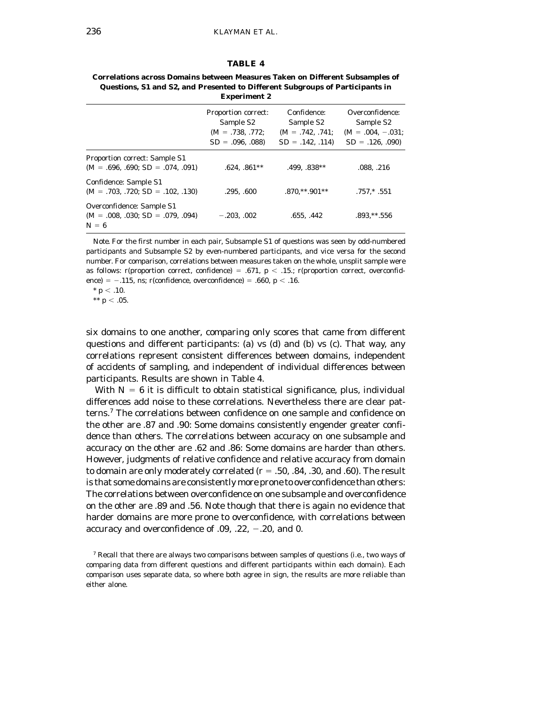#### **TABLE 4**

| Correlations across Domains between Measures Taken on Different Subsamples of |  |  |
|-------------------------------------------------------------------------------|--|--|
| Questions, S1 and S2, and Presented to Different Subgroups of Participants in |  |  |
| <b>Experiment 2</b>                                                           |  |  |

|                                                                           | <b>Proportion correct:</b><br>Sample S <sub>2</sub><br>$(M = .738, .772)$<br>$SD = .096, .088$ | Confidence:<br>Sample S2<br>$(M = .742, .741;$<br>$SD = .142, .114$ | Overconfidence:<br>Sample S <sub>2</sub><br>$(M = .004, -.031)$<br>$SD = .126, .090$ |
|---------------------------------------------------------------------------|------------------------------------------------------------------------------------------------|---------------------------------------------------------------------|--------------------------------------------------------------------------------------|
| Proportion correct: Sample S1<br>$(M = .696, .690; SD = .074, .091)$      | $.624. .861**$                                                                                 | $.499. .838**$                                                      | .088. .216                                                                           |
| Confidence: Sample S1<br>$(M = .703, .720; SD = .102, .130)$              | .295. .600                                                                                     | $.870$ .**.901**                                                    | $.757.*.551$                                                                         |
| Overconfidence: Sample S1<br>$(M = .008, .030; SD = .079, .094)$<br>$N=6$ | $-.203. .002$                                                                                  | .655. .442                                                          | $0.893$ .**.556                                                                      |

*Note*. For the first number in each pair, Subsample S1 of questions was seen by odd-numbered participants and Subsample S2 by even-numbered participants, and vice versa for the second number. For comparison, correlations between measures taken on the whole, unsplit sample were as follows: *r*(proportion correct, confidence) = .671,  $p < .15$ ; *r*(proportion correct, overconfidence) =  $-.115$ , *ns*; *r*(confidence, overconfidence) = .660, *p* < .16.  $* p < .10.$ 

\*\*  $p < .05$ .

six domains to one another, comparing only scores that came from different questions *and* different participants: (a) vs (d) and (b) vs (c). That way, any correlations represent consistent differences between domains, independent of accidents of sampling, and independent of individual differences between participants. Results are shown in Table 4.

With  $N = 6$  it is difficult to obtain statistical significance, plus, individual differences add noise to these correlations. Nevertheless there are clear patterns.7 The correlations between confidence on one sample and confidence on the other are .87 and .90: Some domains consistently engender greater confidence than others. The correlations between accuracy on one subsample and accuracy on the other are .62 and .86: Some domains are harder than others. However, judgments of relative confidence and relative accuracy from domain to domain are only moderately correlated  $(r = .50, .84, .30, \text{ and } .60)$ . The result is that some domains are consistently more prone to overconfidence than others: The correlations between overconfidence on one subsample and overconfidence on the other are .89 and .56. Note though that there is again no evidence that harder domains are more prone to overconfidence, with correlations between accuracy and overconfidence of  $.09$ ,  $.22$ ,  $-.20$ , and 0.

 $7$  Recall that there are always two comparisons between samples of questions (i.e., two ways of comparing data from different questions and different participants within each domain). Each comparison uses separate data, so where both agree in sign, the results are more reliable than either alone.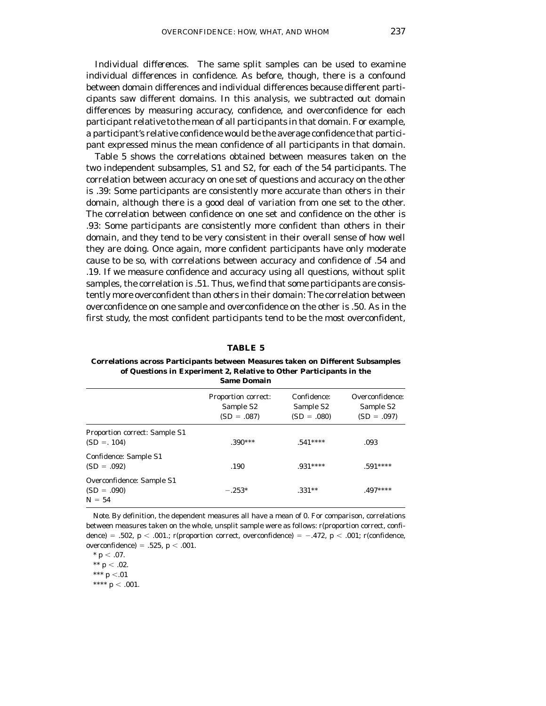*Individual differences.* The same split samples can be used to examine individual differences in confidence. As before, though, there is a confound between domain differences and individual differences because different participants saw different domains. In this analysis, we subtracted out domain differences by measuring accuracy, confidence, and overconfidence for each participant relative to the mean of all participants in that domain. For example, a participant's relative confidence would be the average confidence that participant expressed minus the mean confidence of all participants in that domain.

Table 5 shows the correlations obtained between measures taken on the two independent subsamples, S1 and S2, for each of the 54 participants. The correlation between accuracy on one set of questions and accuracy on the other is .39: Some participants are consistently more accurate than others in their domain, although there is a good deal of variation from one set to the other. The correlation between confidence on one set and confidence on the other is .93: Some participants are consistently more confident than others in their domain, and they tend to be very consistent in their overall sense of how well they are doing. Once again, more confident participants have only moderate cause to be so, with correlations between accuracy and confidence of .54 and .19. If we measure confidence and accuracy using all questions, without split samples, the correlation is .51. Thus, we find that some participants are consistently more overconfident than others in their domain: The correlation between overconfidence on one sample and overconfidence on the other is .50. As in the first study, the most confident participants tend to be the most overconfident,

|                                                        | <b>Same Domain</b>                                                   |                                                       |                                                           |
|--------------------------------------------------------|----------------------------------------------------------------------|-------------------------------------------------------|-----------------------------------------------------------|
|                                                        | <b>Proportion correct:</b><br>Sample S <sub>2</sub><br>$(SD = .087)$ | Confidence:<br>Sample S <sub>2</sub><br>$(SD = .080)$ | Overconfidence:<br>Sample S <sub>2</sub><br>$(SD = .097)$ |
| Proportion correct: Sample S1<br>$(SD = 104)$          | $.390***$                                                            | $.541***$                                             | .093                                                      |
| Confidence: Sample S1<br>$(SD = .092)$                 | .190                                                                 | $.931***$                                             | $.591***$                                                 |
| Overconfidence: Sample S1<br>$(SD = .090)$<br>$N = 54$ | $-.253*$                                                             | $.331**$                                              | $.497***$                                                 |

**TABLE 5**

**Correlations across Participants between Measures taken on Different Subsamples of Questions in Experiment 2, Relative to Other Participants in the**

*Note*. By definition, the dependent measures all have a mean of 0. For comparison, correlations between measures taken on the whole, unsplit sample were as follows: *r*(proportion correct, confidence) = .502,  $p < .001$ ; *r*(proportion correct, overconfidence) =  $-.472$ ,  $p < .001$ ; *r*(confidence, overconfidence) = .525,  $p < .001$ .

 $* p < .07.$ \*\*  $p < .02$ .  $*** p < .01$  $*** p < .001$ .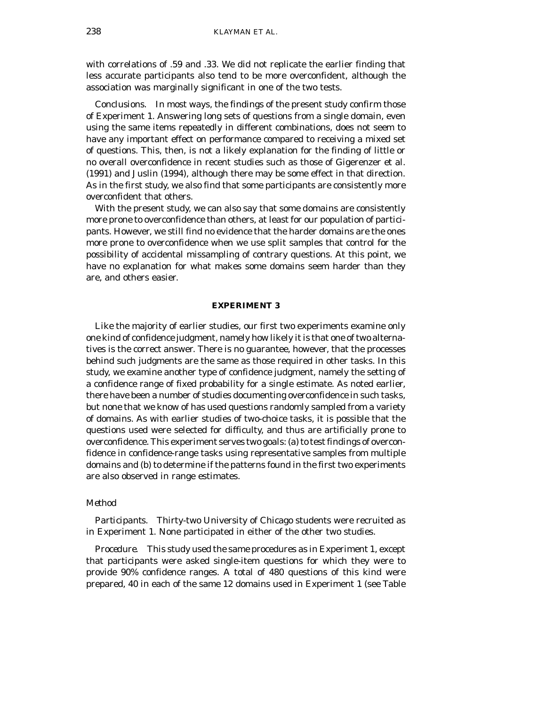with correlations of .59 and .33. We did not replicate the earlier finding that less accurate participants also tend to be more overconfident, although the association was marginally significant in one of the two tests.

*Conclusions.* In most ways, the findings of the present study confirm those of Experiment 1. Answering long sets of questions from a single domain, even using the same items repeatedly in different combinations, does not seem to have any important effect on performance compared to receiving a mixed set of questions. This, then, is not a likely explanation for the finding of little or no overall overconfidence in recent studies such as those of Gigerenzer et al. (1991) and Juslin (1994), although there may be some effect in that direction. As in the first study, we also find that some participants are consistently more overconfident that others.

With the present study, we can also say that some *domains* are consistently more prone to overconfidence than others, at least for our population of participants. However, we still find no evidence that the harder domains are the ones more prone to overconfidence when we use split samples that control for the possibility of accidental missampling of contrary questions. At this point, we have no explanation for what makes some domains seem harder than they are, and others easier.

#### **EXPERIMENT 3**

Like the majority of earlier studies, our first two experiments examine only one kind of confidence judgment, namely how likely it is that one of two alternatives is the correct answer. There is no guarantee, however, that the processes behind such judgments are the same as those required in other tasks. In this study, we examine another type of confidence judgment, namely the setting of a confidence range of fixed probability for a single estimate. As noted earlier, there have been a number of studies documenting overconfidence in such tasks, but none that we know of has used questions randomly sampled from a variety of domains. As with earlier studies of two-choice tasks, it is possible that the questions used were selected for difficulty, and thus are artificially prone to overconfidence. This experiment serves two goals: (a) to test findings of overconfidence in confidence-range tasks using representative samples from multiple domains and (b) to determine if the patterns found in the first two experiments are also observed in range estimates.

#### *Method*

*Participants.* Thirty-two University of Chicago students were recruited as in Experiment 1. None participated in either of the other two studies.

*Procedure.* This study used the same procedures as in Experiment 1, except that participants were asked single-item questions for which they were to provide 90% confidence ranges. A total of 480 questions of this kind were prepared, 40 in each of the same 12 domains used in Experiment 1 (see Table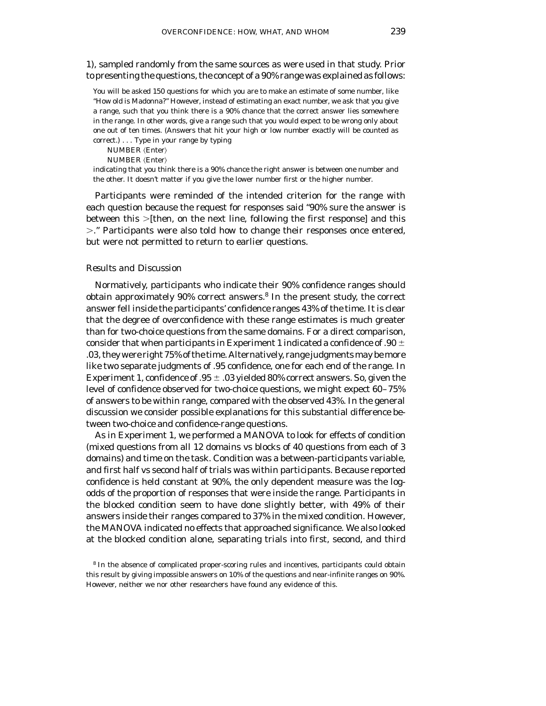# 1), sampled randomly from the same sources as were used in that study. Prior to presenting the questions, the concept of a 90% range was explained as follows:

You will be asked 150 questions for which you are to make an estimate of some number, like "How old is Madonna?" However, instead of estimating an exact number, we ask that you give a range, such that you think there is a 90% chance that the correct answer lies somewhere in the range. In other words, give a range such that you would expect to be wrong only about one out of ten times. (Answers that hit your high or low number exactly will be counted as correct.) . . . Type in your range by typing

NUMBER  $\langle$ Enter $\rangle$ 

NUMBER  $\langle$ Enter $\rangle$ 

indicating that you think there is a 90% chance the right answer is between one number and the other. It doesn't matter if you give the lower number first or the higher number.

Participants were reminded of the intended criterion for the range with each question because the request for responses said "90% sure the answer is between this  $>[then, on the next line, following the first response]$  and this >." Participants were also told how to change their responses once entered, but were not permitted to return to earlier questions.

# *Results and Discussion*

Normatively, participants who indicate their 90% confidence ranges should obtain approximately  $90\%$  correct answers.<sup>8</sup> In the present study, the correct answer fell inside the participants' confidence ranges 43% of the time. It is clear that the degree of overconfidence with these range estimates is much greater than for two-choice questions from the same domains. For a direct comparison, consider that when participants in Experiment 1 indicated a confidence of .90  $\pm$ .03, they were right 75% of the time. Alternatively, range judgments may be more like two separate judgments of .95 confidence, one for each end of the range. In Experiment 1, confidence of .95  $\pm$  .03 yielded 80% correct answers. So, given the level of confidence observed for two-choice questions, we might expect 60–75% of answers to be within range, compared with the observed 43%. In the general discussion we consider possible explanations for this substantial difference between two-choice and confidence-range questions.

As in Experiment 1, we performed a MANOVA to look for effects of condition (mixed questions from all 12 domains vs blocks of 40 questions from each of 3 domains) and time on the task. Condition was a between-participants variable, and first half vs second half of trials was within participants. Because reported confidence is held constant at 90%, the only dependent measure was the logodds of the proportion of responses that were inside the range. Participants in the blocked condition seem to have done slightly better, with 49% of their answers inside their ranges compared to 37% in the mixed condition. However, the MANOVA indicated no effects that approached significance. We also looked at the blocked condition alone, separating trials into first, second, and third

<sup>8</sup> In the absence of complicated proper-scoring rules and incentives, participants could obtain this result by giving impossible answers on 10% of the questions and near-infinite ranges on 90%. However, neither we nor other researchers have found any evidence of this.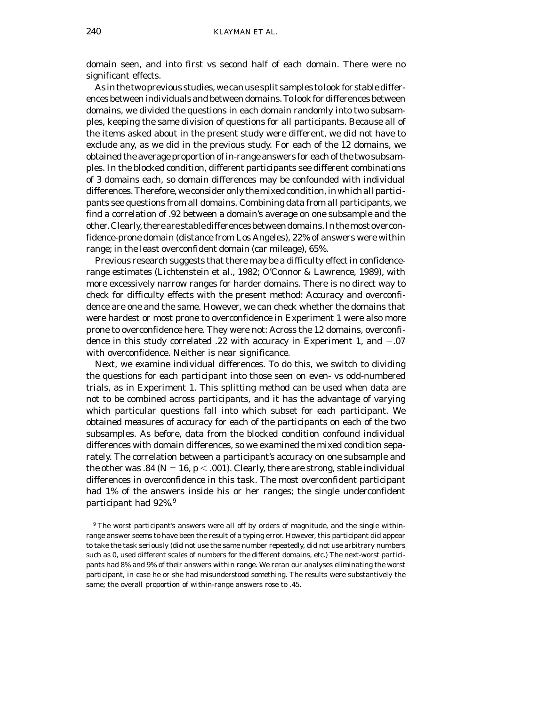domain seen, and into first vs second half of each domain. There were no significant effects.

As in the two previous studies, we can use split samples to look for stable differences between individuals and between domains. To look for differences between domains, we divided the questions in each domain randomly into two subsamples, keeping the same division of questions for all participants. Because all of the items asked about in the present study were different, we did not have to exclude any, as we did in the previous study. For each of the 12 domains, we obtained the average proportion of in-range answers for each of the two subsamples. In the blocked condition, different participants see different combinations of 3 domains each, so domain differences may be confounded with individual differences. Therefore, we consider only the mixed condition, in which all participants see questions from all domains. Combining data from all participants, we find a correlation of .92 between a domain's average on one subsample and the other. Clearly, there are stable differences between domains. In the most overconfidence-prone domain (distance from Los Angeles), 22% of answers were within range; in the least overconfident domain (car mileage), 65%.

Previous research suggests that there may be a difficulty effect in confidencerange estimates (Lichtenstein et al., 1982; O'Connor & Lawrence, 1989), with more excessively narrow ranges for harder domains. There is no direct way to check for difficulty effects with the present method: Accuracy and overconfidence are one and the same. However, we can check whether the domains that were hardest or most prone to overconfidence in Experiment 1 were also more prone to overconfidence here. They were not: Across the 12 domains, overconfidence in this study correlated .22 with accuracy in Experiment 1, and  $-.07$ with overconfidence. Neither is near significance.

Next, we examine individual differences. To do this, we switch to dividing the questions for each participant into those seen on even- vs odd-numbered trials, as in Experiment 1. This splitting method can be used when data are not to be combined across participants, and it has the advantage of varying which particular questions fall into which subset for each participant. We obtained measures of accuracy for each of the participants on each of the two subsamples. As before, data from the blocked condition confound individual differences with domain differences, so we examined the mixed condition separately. The correlation between a participant's accuracy on one subsample and the other was .84 ( $N = 16$ ,  $p < .001$ ). Clearly, there are strong, stable individual differences in overconfidence in this task. The most overconfident participant had 1% of the answers inside his or her ranges; the single underconfident participant had 92%.<sup>9</sup>

<sup>9</sup> The worst participant's answers were all off by orders of magnitude, and the single withinrange answer seems to have been the result of a typing error. However, this participant did appear to take the task seriously (did not use the same number repeatedly, did not use arbitrary numbers such as 0, used different scales of numbers for the different domains, etc.) The next-worst participants had 8% and 9% of their answers within range. We reran our analyses eliminating the worst participant, in case he or she had misunderstood something. The results were substantively the same; the overall proportion of within-range answers rose to .45.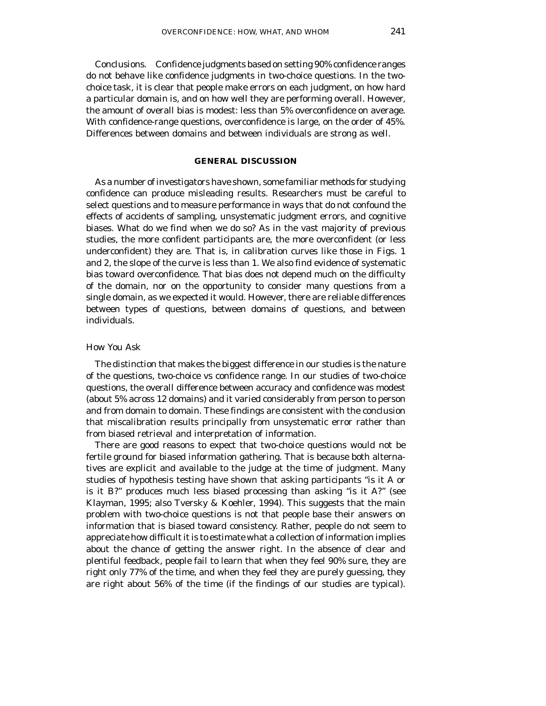*Conclusions.* Confidence judgments based on setting 90% confidence ranges do not behave like confidence judgments in two-choice questions. In the twochoice task, it is clear that people make errors on each judgment, on how hard a particular domain is, and on how well they are performing overall. However, the amount of overall bias is modest: less than 5% overconfidence on average. With confidence-range questions, overconfidence is large, on the order of 45%. Differences between domains and between individuals are strong as well.

#### **GENERAL DISCUSSION**

As a number of investigators have shown, some familiar methods for studying confidence can produce misleading results. Researchers must be careful to select questions and to measure performance in ways that do not confound the effects of accidents of sampling, unsystematic judgment errors, and cognitive biases. What do we find when we do so? As in the vast majority of previous studies, the more confident participants are, the more overconfident (or less underconfident) they are. That is, in calibration curves like those in Figs. 1 and 2, the slope of the curve is less than 1. We also find evidence of systematic bias toward overconfidence. That bias does not depend much on the difficulty of the domain, nor on the opportunity to consider many questions from a single domain, as we expected it would. However, there are reliable differences between types of questions, between domains of questions, and between individuals.

# *How You Ask*

The distinction that makes the biggest difference in our studies is the nature of the questions, two-choice vs confidence range. In our studies of two-choice questions, the overall difference between accuracy and confidence was modest (about 5% across 12 domains) and it varied considerably from person to person and from domain to domain. These findings are consistent with the conclusion that miscalibration results principally from unsystematic error rather than from biased retrieval and interpretation of information.

There are good reasons to expect that two-choice questions would not be fertile ground for biased information gathering. That is because both alternatives are explicit and available to the judge at the time of judgment. Many studies of hypothesis testing have shown that asking participants "is it A or is it B?" produces much less biased processing than asking "is it A?" (see Klayman, 1995; also Tversky & Koehler, 1994). This suggests that the main problem with two-choice questions is not that people base their answers on information that is biased toward consistency. Rather, people do not seem to appreciate how difficult it is to estimate what a collection of information implies about the chance of getting the answer right. In the absence of clear and plentiful feedback, people fail to learn that when they feel 90% sure, they are right only 77% of the time, and when they feel they are purely guessing, they are right about 56% of the time (if the findings of our studies are typical).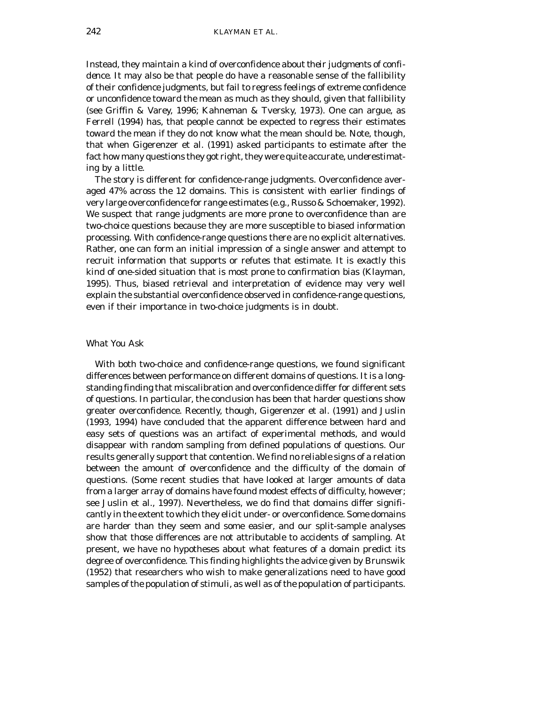Instead, they maintain a kind of overconfidence *about their judgments of confidence*. It may also be that people do have a reasonable sense of the fallibility of their confidence judgments, but fail to regress feelings of extreme confidence or unconfidence toward the mean as much as they should, given that fallibility (see Griffin & Varey, 1996; Kahneman & Tversky, 1973). One can argue, as Ferrell (1994) has, that people cannot be expected to regress their estimates toward the mean if they do not know what the mean should be. Note, though, that when Gigerenzer et al. (1991) asked participants to estimate after the fact how many questions they got right, they were quite accurate, *under*estimating by a little.

The story is different for confidence-range judgments. Overconfidence averaged 47% across the 12 domains. This is consistent with earlier findings of very large overconfidence for range estimates (e.g., Russo & Schoemaker, 1992). We suspect that range judgments are more prone to overconfidence than are two-choice questions because they are more susceptible to biased information processing. With confidence-range questions there are no explicit alternatives. Rather, one can form an initial impression of a single answer and attempt to recruit information that supports or refutes that estimate. It is exactly this kind of one-sided situation that is most prone to confirmation bias (Klayman, 1995). Thus, biased retrieval and interpretation of evidence may very well explain the substantial overconfidence observed in confidence-range questions, even if their importance in two-choice judgments is in doubt.

# *What You Ask*

With both two-choice and confidence-range questions, we found significant differences between performance on different domains of questions. It is a longstanding finding that miscalibration and overconfidence differ for different sets of questions. In particular, the conclusion has been that harder questions show greater overconfidence. Recently, though, Gigerenzer et al. (1991) and Juslin (1993, 1994) have concluded that the apparent difference between hard and easy sets of questions was an artifact of experimental methods, and would disappear with random sampling from defined populations of questions. Our results generally support that contention. We find no reliable signs of a relation between the amount of overconfidence and the difficulty of the domain of questions. (Some recent studies that have looked at larger amounts of data from a larger array of domains have found modest effects of difficulty, however; see Juslin et al., 1997). Nevertheless, we do find that domains differ significantly in the extent to which they elicit under- or overconfidence. Some domains are harder than they seem and some easier, and our split-sample analyses show that those differences are not attributable to accidents of sampling. At present, we have no hypotheses about what features of a domain predict its degree of overconfidence. This finding highlights the advice given by Brunswik (1952) that researchers who wish to make generalizations need to have good samples of the population of stimuli, as well as of the population of participants.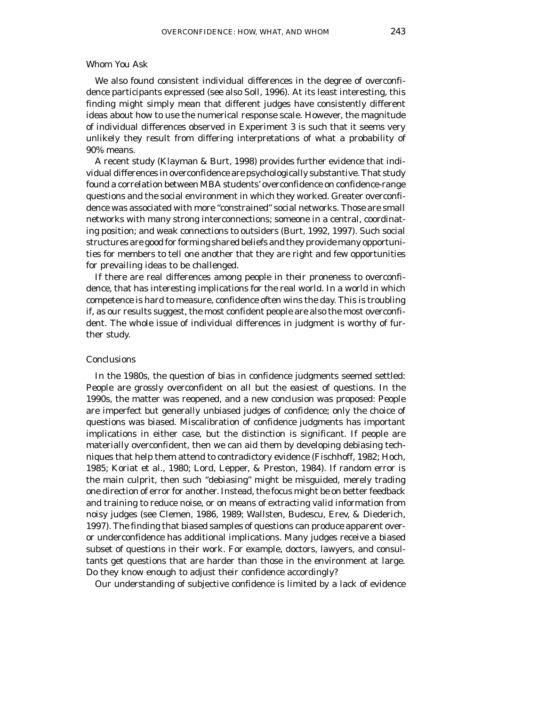#### *Whom You Ask*

We also found consistent individual differences in the degree of overconfidence participants expressed (see also Soll, 1996). At its least interesting, this finding might simply mean that different judges have consistently different ideas about how to use the numerical response scale. However, the magnitude of individual differences observed in Experiment 3 is such that it seems very unlikely they result from differing interpretations of what a probability of 90% means.

A recent study (Klayman & Burt, 1998) provides further evidence that individual differences in overconfidence are psychologically substantive. That study found a correlation between MBA students' overconfidence on confidence-range questions and the social environment in which they worked. Greater overconfidence was associated with more "constrained" social networks. Those are small networks with many strong interconnections; someone in a central, coordinating position; and weak connections to outsiders (Burt, 1992, 1997). Such social structures are good for forming shared beliefs and they provide many opportunities for members to tell one another that they are right and few opportunities for prevailing ideas to be challenged.

If there are real differences among people in their proneness to overconfidence, that has interesting implications for the real world. In a world in which competence is hard to measure, confidence often wins the day. This is troubling if, as our results suggest, the most confident people are also the most overconfident. The whole issue of individual differences in judgment is worthy of further study.

#### *Conclusions*

In the 1980s, the question of bias in confidence judgments seemed settled: People are grossly overconfident on all but the easiest of questions. In the 1990s, the matter was reopened, and a new conclusion was proposed: People are imperfect but generally unbiased judges of confidence; only the choice of questions was biased. Miscalibration of confidence judgments has important implications in either case, but the distinction is significant. If people are materially overconfident, then we can aid them by developing debiasing techniques that help them attend to contradictory evidence (Fischhoff, 1982; Hoch, 1985; Koriat et al., 1980; Lord, Lepper, & Preston, 1984). If random error is the main culprit, then such "debiasing" might be misguided, merely trading one direction of error for another. Instead, the focus might be on better feedback and training to reduce noise, or on means of extracting valid information from noisy judges (see Clemen, 1986, 1989; Wallsten, Budescu, Erev, & Diederich, 1997). The finding that biased samples of questions can produce apparent overor underconfidence has additional implications. Many judges receive a biased subset of questions in their work. For example, doctors, lawyers, and consultants get questions that are harder than those in the environment at large. Do they know enough to adjust their confidence accordingly?

Our understanding of subjective confidence is limited by a lack of evidence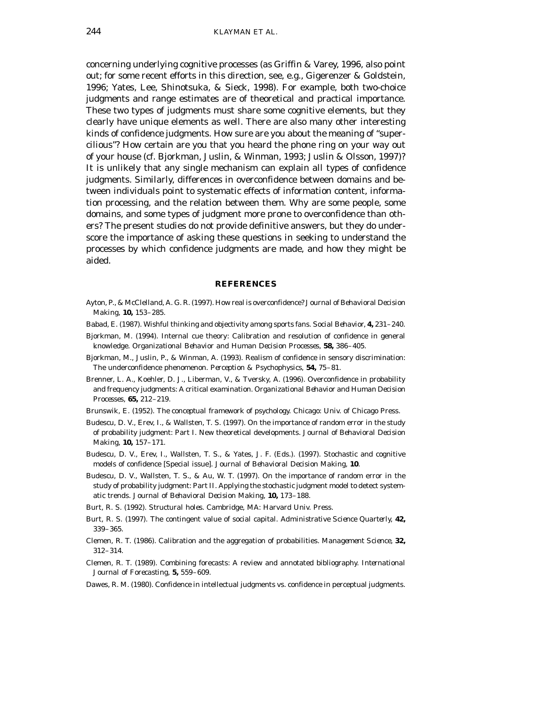concerning underlying cognitive processes (as Griffin & Varey, 1996, also point out; for some recent efforts in this direction, see, e.g., Gigerenzer & Goldstein, 1996; Yates, Lee, Shinotsuka, & Sieck, 1998). For example, both two-choice judgments and range estimates are of theoretical and practical importance. These two types of judgments must share some cognitive elements, but they clearly have unique elements as well. There are also many other interesting kinds of confidence judgments. How sure are you about the meaning of "supercilious"? How certain are you that you heard the phone ring on your way out of your house (cf. Bjorkman, Juslin, & Winman, 1993; Juslin & Olsson, 1997)? It is unlikely that any single mechanism can explain all types of confidence judgments. Similarly, differences in overconfidence between domains and between individuals point to systematic effects of information content, information processing, and the relation between them. Why are some people, some domains, and some types of judgment more prone to overconfidence than others? The present studies do not provide definitive answers, but they do underscore the importance of asking these questions in seeking to understand the processes by which confidence judgments are made, and how they might be aided.

#### **REFERENCES**

- Ayton, P., & McClelland, A. G. R. (1997). How real is overconfidence? *Journal of Behavioral Decision Making*, **10,** 153–285.
- Babad, E. (1987). Wishful thinking and objectivity among sports fans. *Social Behavior*, **4,** 231–240. ¨
- Bjo rkman, M. (1994). Internal cue theory: Calibration and resolution of confidence in general knowledge. *Organizational Behavior and Human Decision Processes*, **58,** 386–405. ¨
- Bjo rkman, M., Juslin, P., & Winman, A. (1993). Realism of confidence in sensory discrimination: The underconfidence phenomenon. *Perception & Psychophysics*, **54,** 75–81.
- Brenner, L. A., Koehler, D. J., Liberman, V., & Tversky, A. (1996). Overconfidence in probability and frequency judgments: A critical examination. *Organizational Behavior and Human Decision Processes*, **65,** 212–219.
- Brunswik, E. (1952). *The conceptual framework of psychology*. Chicago: Univ. of Chicago Press.
- Budescu, D. V., Erev, I., & Wallsten, T. S. (1997). On the importance of random error in the study of probability judgment: Part I. New theoretical developments. *Journal of Behavioral Decision Making*, **10,** 157–171.
- Budescu, D. V., Erev, I., Wallsten, T. S., & Yates, J. F. (Eds.). (1997). Stochastic and cognitive models of confidence [Special issue]. *Journal of Behavioral Decision Making*, **10**.
- Budescu, D. V., Wallsten, T. S., & Au, W. T. (1997). On the importance of random error in the study of probability judgment: Part II. Applying the stochastic judgment model to detect systematic trends. *Journal of Behavioral Decision Making*, **10,** 173–188.
- Burt, R. S. (1992). *Structural holes*. Cambridge, MA: Harvard Univ. Press.
- Burt, R. S. (1997). The contingent value of social capital. *Administrative Science Quarterly*, **42,** 339–365.
- Clemen, R. T. (1986). Calibration and the aggregation of probabilities. *Management Science*, **32,** 312–314.
- Clemen, R. T. (1989). Combining forecasts: A review and annotated bibliography. *International Journal of Forecasting*, **5,** 559–609.
- Dawes, R. M. (1980). Confidence in intellectual judgments vs. confidence in perceptual judgments.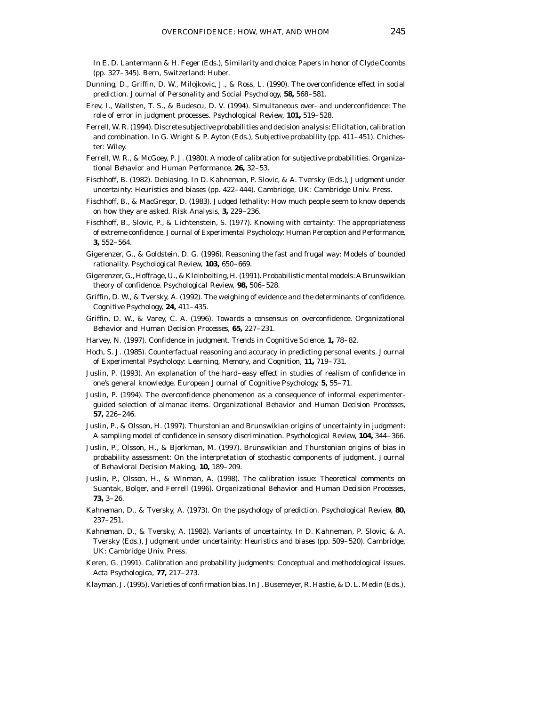In E. D. Lantermann & H. Feger (Eds.), *Similarity and choice: Papers in honor of Clyde Coombs* (pp. 327–345). Bern, Switzerland: Huber.

- Dunning, D., Griffin, D. W., Milojkovic, J., & Ross, L. (1990). The overconfidence effect in social prediction. *Journal of Personality and Social Psychology*, **58,** 568–581.
- Erev, I., Wallsten, T. S., & Budescu, D. V. (1994). Simultaneous over- and underconfidence: The role of error in judgment processes. *Psychological Review*, **101,** 519–528.
- Ferrell, W. R. (1994). Discrete subjective probabilities and decision analysis: Elicitation, calibration and combination. In G. Wright & P. Ayton (Eds.), *Subjective probability* (pp. 411–451). Chichester: Wiley.
- Ferrell, W. R., & McGoey, P. J. (1980). A mode of calibration for subjective probabilities. *Organizational Behavior and Human Performance*, **26,** 32–53.
- Fischhoff, B. (1982). Debiasing. In D. Kahneman, P. Slovic, & A. Tversky (Eds.), *Judgment under uncertainty: Heuristics and biases* (pp. 422–444). Cambridge, UK: Cambridge Univ. Press.
- Fischhoff, B., & MacGregor, D. (1983). Judged lethality: How much people seem to know depends on how they are asked. *Risk Analysis*, **3,** 229–236.
- Fischhoff, B., Slovic, P., & Lichtenstein, S. (1977). Knowing with certainty: The appropriateness of extreme confidence. *Journal of Experimental Psychology: Human Perception and Performance*, **3,** 552–564.
- Gigerenzer, G., & Goldstein, D. G. (1996). Reasoning the fast and frugal way: Models of bounded rationality. *Psychological Review*, **103,** 650–669. ¨
- Gigerenzer, G., Hoffrage, U., & Kleinbolting, H. (1991). Probabilistic mental models: A Brunswikian theory of confidence. *Psychological Review*, **98,** 506–528.
- Griffin, D. W., & Tversky, A. (1992). The weighing of evidence and the determinants of confidence. *Cognitive Psychology*, **24,** 411–435.
- Griffin, D. W., & Varey, C. A. (1996). Towards a consensus on overconfidence. *Organizational Behavior and Human Decision Processes*, **65,** 227–231.
- Harvey, N. (1997). Confidence in judgment. *Trends in Cognitive Science*, **1,** 78–82.
- Hoch, S. J. (1985). Counterfactual reasoning and accuracy in predicting personal events. *Journal of Experimental Psychology: Learning, Memory, and Cognition*, **11,** 719–731.
- Juslin, P. (1993). An explanation of the hard–easy effect in studies of realism of confidence in one's general knowledge. *European Journal of Cognitive Psychology*, **5,** 55–71.
- Juslin, P. (1994). The overconfidence phenomenon as a consequence of informal experimenterguided selection of almanac items. *Organizational Behavior and Human Decision Processes*, **57,** 226–246.
- Juslin, P., & Olsson, H. (1997). Thurstonian and Brunswikian origins of uncertainty in judgment: A sampling model of confidence in sensory discrimination. *Psychological Review*, **104,** 344–366. ¨
- Juslin, P., Olsson, H., & Bjo rkman, M. (1997). Brunswikian and Thurstonian origins of bias in probability assessment: On the interpretation of stochastic components of judgment. *Journal of Behavioral Decision Making*, **10,** 189–209.
- Juslin, P., Olsson, H., & Winman, A. (1998). The calibration issue: Theoretical comments on Suantak, Bolger, and Ferrell (1996). *Organizational Behavior and Human Decision Processes*, **73,** 3–26.
- Kahneman, D., & Tversky, A. (1973). On the psychology of prediction. *Psychological Review*, **80,** 237–251.
- Kahneman, D., & Tversky, A. (1982). Variants of uncertainty. In D. Kahneman, P. Slovic, & A. Tversky (Eds.), *Judgment under uncertainty: Heuristics and biases* (pp. 509–520). Cambridge, UK: Cambridge Univ. Press.
- Keren, G. (1991). Calibration and probability judgments: Conceptual and methodological issues. *Acta Psychologica*, **77,** 217–273.
- Klayman, J. (1995). Varieties of confirmation bias. In J. Busemeyer, R. Hastie, & D. L. Medin (Eds.),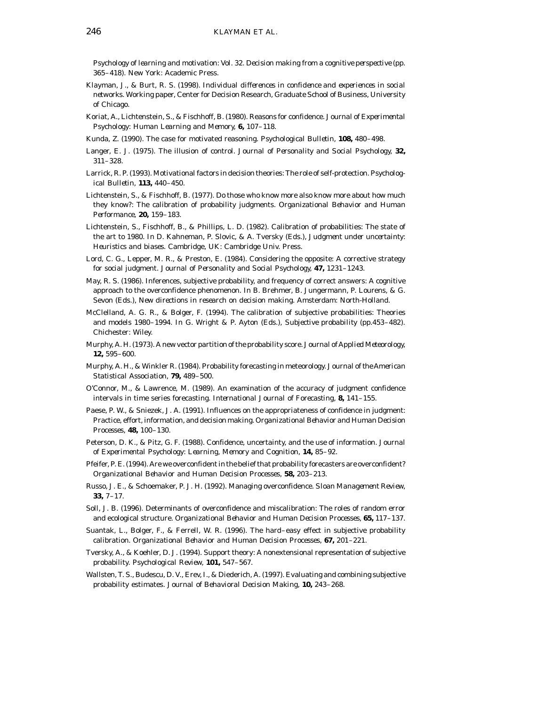*Psychology of learning and motivation: Vol. 32. Decision making from a cognitive perspective* (pp. 365–418). New York: Academic Press.

- Klayman, J., & Burt, R. S. (1998). *Individual differences in confidence and experiences in social networks*. Working paper, Center for Decision Research, Graduate School of Business, University of Chicago.
- Koriat, A., Lichtenstein, S., & Fischhoff, B. (1980). Reasons for confidence. *Journal of Experimental Psychology: Human Learning and Memory*, **6,** 107–118.
- Kunda, Z. (1990). The case for motivated reasoning. *Psychological Bulletin*, **108,** 480–498.
- Langer, E. J. (1975). The illusion of control. *Journal of Personality and Social Psychology*, **32,** 311–328.
- Larrick, R. P. (1993). Motivational factors in decision theories: The role of self-protection. *Psychological Bulletin*, **113,** 440–450.
- Lichtenstein, S., & Fischhoff, B. (1977). Do those who know more also know more about how much they know?: The calibration of probability judgments. *Organizational Behavior and Human Performance*, **20,** 159–183.
- Lichtenstein, S., Fischhoff, B., & Phillips, L. D. (1982). Calibration of probabilities: The state of the art to 1980. In D. Kahneman, P. Slovic, & A. Tversky (Eds.), *Judgment under uncertainty: Heuristics and biases*. Cambridge, UK: Cambridge Univ. Press.
- Lord, C. G., Lepper, M. R., & Preston, E. (1984). Considering the opposite: A corrective strategy for social judgment. *Journal of Personality and Social Psychology*, **47,** 1231–1243.
- May, R. S. (1986). Inferences, subjective probability, and frequency of correct answers: A cognitive approach to the overconfidence phenomenon. In B. Brehmer, B. Jungermann, P. Lourens, & G. Sevon (Eds.), *New directions in research on decision making*. Amsterdam: North-Holland.
- McClelland, A. G. R., & Bolger, F. (1994). The calibration of subjective probabilities: Theories and models 1980–1994. In G. Wright & P. Ayton (Eds.), *Subjective probability* (pp.453–482). Chichester: Wiley.
- Murphy, A. H. (1973). A new vector partition of the probability score. *Journal of Applied Meteorology*, **12,** 595–600.
- Murphy, A. H., & Winkler R. (1984). Probability forecasting in meteorology. *Journal of the American Statistical Association*, **79,** 489–500.
- O'Connor, M., & Lawrence, M. (1989). An examination of the accuracy of judgment confidence intervals in time series forecasting. *International Journal of Forecasting*, **8,** 141–155.
- Paese, P. W., & Sniezek, J. A. (1991). Influences on the appropriateness of confidence in judgment: Practice, effort, information, and decision making. *Organizational Behavior and Human Decision Processes*, **48,** 100–130.
- Peterson, D. K., & Pitz, G. F. (1988). Confidence, uncertainty, and the use of information. *Journal of Experimental Psychology: Learning, Memory and Cognition*, **14,** 85–92.
- Pfeifer, P. E. (1994). Are we overconfident in the belief that probability forecasters are overconfident? *Organizational Behavior and Human Decision Processes*, **58,** 203–213.
- Russo, J. E., & Schoemaker, P. J. H. (1992). Managing overconfidence. *Sloan Management Review*, **33,** 7–17.
- Soll, J. B. (1996). Determinants of overconfidence and miscalibration: The roles of random error and ecological structure. *Organizational Behavior and Human Decision Processes*, **65,** 117–137.
- Suantak, L., Bolger, F., & Ferrell, W. R. (1996). The hard–easy effect in subjective probability calibration. *Organizational Behavior and Human Decision Processes*, **67,** 201–221.
- Tversky, A., & Koehler, D. J. (1994). Support theory: A nonextensional representation of subjective probability. *Psychological Review*, **101,** 547–567.
- Wallsten, T. S., Budescu, D. V., Erev, I., & Diederich, A. (1997). Evaluating and combining subjective probability estimates. *Journal of Behavioral Decision Making*, **10,** 243–268.